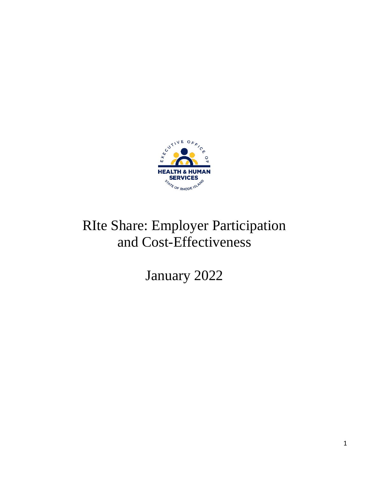

# RIte Share: Employer Participation and Cost-Effectiveness

January 2022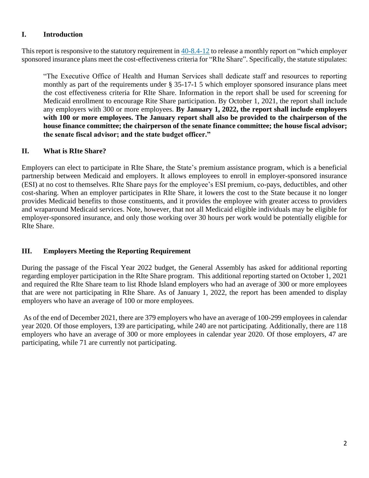#### **I. Introduction**

This report is responsive to the statutory requirement in 40-8.4-12 to release a monthly report on "which employer sponsored insurance plans meet the cost-effectiveness criteria for "RIte Share". Specifically, the statute stipulates:

"The Executive Office of Health and Human Services shall dedicate staff and resources to reporting monthly as part of the requirements under § 35-17-1 5 which employer sponsored insurance plans meet the cost effectiveness criteria for RIte Share. Information in the report shall be used for screening for Medicaid enrollment to encourage Rite Share participation. By October 1, 2021, the report shall include any employers with 300 or more employees. **By January 1, 2022, the report shall include employers with 100 or more employees. The January report shall also be provided to the chairperson of the house finance committee; the chairperson of the senate finance committee; the house fiscal advisor; the senate fiscal advisor; and the state budget officer."**

## **II. What is RIte Share?**

Employers can elect to participate in RIte Share, the State's premium assistance program, which is a beneficial partnership between Medicaid and employers. It allows employees to enroll in employer-sponsored insurance (ESI) at no cost to themselves. RIte Share pays for the employee's ESI premium, co-pays, deductibles, and other cost-sharing. When an employer participates in RIte Share, it lowers the cost to the State because it no longer provides Medicaid benefits to those constituents, and it provides the employee with greater access to providers and wraparound Medicaid services. Note, however, that not all Medicaid eligible individuals may be eligible for employer-sponsored insurance, and only those working over 30 hours per work would be potentially eligible for RIte Share.

## **III. Employers Meeting the Reporting Requirement**

During the passage of the Fiscal Year 2022 budget, the General Assembly has asked for additional reporting regarding employer participation in the RIte Share program. This additional reporting started on October 1, 2021 and required the RIte Share team to list Rhode Island employers who had an average of 300 or more employees that are were not participating in RIte Share. As of January 1, 2022, the report has been amended to display employers who have an average of 100 or more employees.

As of the end of December 2021, there are 379 employers who have an average of 100-299 employees in calendar year 2020. Of those employers, 139 are participating, while 240 are not participating. Additionally, there are 118 employers who have an average of 300 or more employees in calendar year 2020. Of those employers, 47 are participating, while 71 are currently not participating.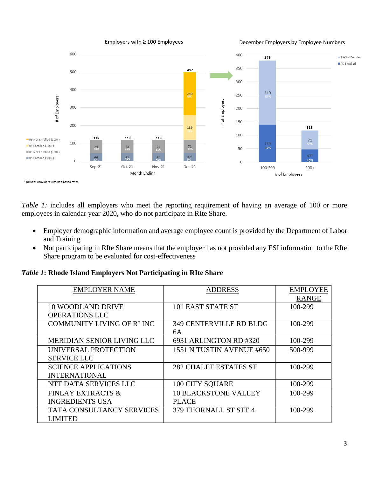

*Table 1:* includes all employers who meet the reporting requirement of having an average of 100 or more employees in calendar year 2020, who do not participate in RIte Share.

- Employer demographic information and average employee count is provided by the Department of Labor and Training
- Not participating in RIte Share means that the employer has not provided any ESI information to the RIte Share program to be evaluated for cost-effectiveness

*Table 1***: Rhode Island Employers Not Participating in RIte Share**

| <b>EMPLOYER NAME</b>              | <b>ADDRESS</b>                 | <b>EMPLOYEE</b> |
|-----------------------------------|--------------------------------|-----------------|
|                                   |                                | <b>RANGE</b>    |
| <b>10 WOODLAND DRIVE</b>          | 101 EAST STATE ST              | 100-299         |
| <b>OPERATIONS LLC</b>             |                                |                 |
| <b>COMMUNITY LIVING OF RIINC</b>  | <b>349 CENTERVILLE RD BLDG</b> | 100-299         |
|                                   | 6A                             |                 |
| <b>MERIDIAN SENIOR LIVING LLC</b> | 6931 ARLINGTON RD #320         | 100-299         |
| UNIVERSAL PROTECTION              | 1551 N TUSTIN AVENUE #650      | 500-999         |
| <b>SERVICE LLC</b>                |                                |                 |
| <b>SCIENCE APPLICATIONS</b>       | <b>282 CHALET ESTATES ST</b>   | 100-299         |
| <b>INTERNATIONAL</b>              |                                |                 |
| NTT DATA SERVICES LLC             | 100 CITY SQUARE                | 100-299         |
| <b>FINLAY EXTRACTS &amp;</b>      | <b>10 BLACKSTONE VALLEY</b>    | 100-299         |
| <b>INGREDIENTS USA</b>            | <b>PLACE</b>                   |                 |
| <b>TATA CONSULTANCY SERVICES</b>  | 379 THORNALL ST STE 4          | 100-299         |
| <b>LIMITED</b>                    |                                |                 |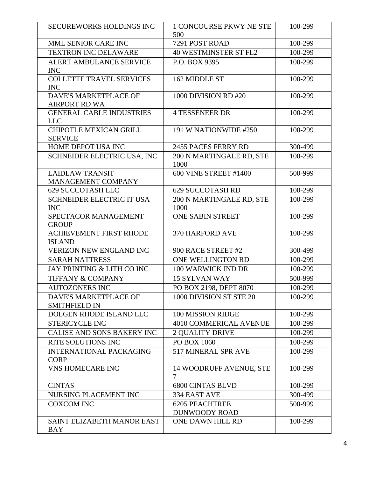| <b>SECUREWORKS HOLDINGS INC</b>                 | <b>1 CONCOURSE PKWY NE STE</b><br>500         | 100-299 |
|-------------------------------------------------|-----------------------------------------------|---------|
| MML SENIOR CARE INC                             | 7291 POST ROAD                                | 100-299 |
| <b>TEXTRON INC DELAWARE</b>                     | <b>40 WESTMINSTER ST FL2</b>                  | 100-299 |
| ALERT AMBULANCE SERVICE<br><b>INC</b>           | P.O. BOX 9395                                 | 100-299 |
| <b>COLLETTE TRAVEL SERVICES</b><br><b>INC</b>   | 162 MIDDLE ST                                 | 100-299 |
| DAVE'S MARKETPLACE OF<br><b>AIRPORT RD WA</b>   | 1000 DIVISION RD #20                          | 100-299 |
| <b>GENERAL CABLE INDUSTRIES</b><br><b>LLC</b>   | <b>4 TESSENEER DR</b>                         | 100-299 |
| <b>CHIPOTLE MEXICAN GRILL</b><br><b>SERVICE</b> | 191 W NATIONWIDE #250                         | 100-299 |
| HOME DEPOT USA INC                              | 2455 PACES FERRY RD                           | 300-499 |
| SCHNEIDER ELECTRIC USA, INC                     | 200 N MARTINGALE RD, STE<br>1000              | 100-299 |
| <b>LAIDLAW TRANSIT</b><br>MANAGEMENT COMPANY    | 600 VINE STREET #1400                         | 500-999 |
| <b>629 SUCCOTASH LLC</b>                        | <b>629 SUCCOTASH RD</b>                       | 100-299 |
| <b>SCHNEIDER ELECTRIC IT USA</b><br><b>INC</b>  | 200 N MARTINGALE RD, STE<br>1000              | 100-299 |
| SPECTACOR MANAGEMENT<br><b>GROUP</b>            | <b>ONE SABIN STREET</b>                       | 100-299 |
| ACHIEVEMENT FIRST RHODE<br><b>ISLAND</b>        | 370 HARFORD AVE                               | 100-299 |
| VERIZON NEW ENGLAND INC                         | 900 RACE STREET #2                            | 300-499 |
| <b>SARAH NATTRESS</b>                           | ONE WELLINGTON RD                             | 100-299 |
| JAY PRINTING & LITH CO INC                      | 100 WARWICK IND DR                            | 100-299 |
| <b>TIFFANY &amp; COMPANY</b>                    | <b>15 SYLVAN WAY</b>                          | 500-999 |
| <b>AUTOZONERS INC</b>                           | PO BOX 2198, DEPT 8070                        | 100-299 |
| DAVE'S MARKETPLACE OF<br><b>SMITHFIELD IN</b>   | 1000 DIVISION ST STE 20                       | 100-299 |
| DOLGEN RHODE ISLAND LLC                         | 100 MISSION RIDGE                             | 100-299 |
| <b>STERICYCLE INC</b>                           | <b>4010 COMMERICAL AVENUE</b>                 | 100-299 |
| CALISE AND SONS BAKERY INC                      | <b>2 QUALITY DRIVE</b>                        | 100-299 |
| RITE SOLUTIONS INC                              | PO BOX 1060                                   | 100-299 |
| <b>INTERNATIONAL PACKAGING</b><br><b>CORP</b>   | 517 MINERAL SPR AVE                           | 100-299 |
| <b>VNS HOMECARE INC</b>                         | <b>14 WOODRUFF AVENUE, STE</b><br>7           | 100-299 |
| <b>CINTAS</b>                                   | <b>6800 CINTAS BLVD</b>                       | 100-299 |
| NURSING PLACEMENT INC                           | 334 EAST AVE                                  | 300-499 |
| <b>COXCOM INC</b>                               | <b>6205 PEACHTREE</b><br><b>DUNWOODY ROAD</b> | 500-999 |
| SAINT ELIZABETH MANOR EAST<br><b>BAY</b>        | ONE DAWN HILL RD                              | 100-299 |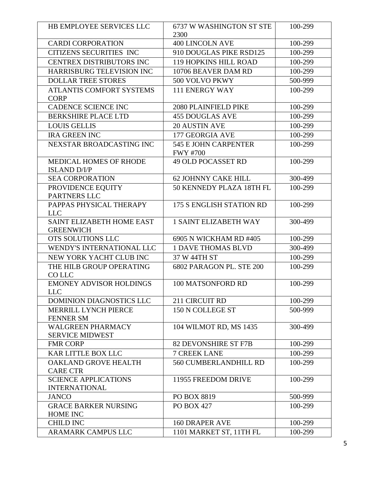| HB EMPLOYEE SERVICES LLC                             | 6737 W WASHINGTON ST STE<br>2300               | 100-299 |
|------------------------------------------------------|------------------------------------------------|---------|
| <b>CARDI CORPORATION</b>                             | <b>400 LINCOLN AVE</b>                         | 100-299 |
| <b>CITIZENS SECURITIES INC</b>                       | 910 DOUGLAS PIKE RSD125                        | 100-299 |
| CENTREX DISTRIBUTORS INC                             | <b>119 HOPKINS HILL ROAD</b>                   | 100-299 |
| HARRISBURG TELEVISION INC                            | 10706 BEAVER DAM RD                            | 100-299 |
| <b>DOLLAR TREE STORES</b>                            | 500 VOLVO PKWY                                 | 500-999 |
| <b>ATLANTIS COMFORT SYSTEMS</b><br><b>CORP</b>       | <b>111 ENERGY WAY</b>                          | 100-299 |
| CADENCE SCIENCE INC                                  | <b>2080 PLAINFIELD PIKE</b>                    | 100-299 |
| <b>BERKSHIRE PLACE LTD</b>                           | <b>455 DOUGLAS AVE</b>                         | 100-299 |
| <b>LOUIS GELLIS</b>                                  | <b>20 AUSTIN AVE</b>                           | 100-299 |
| <b>IRA GREEN INC</b>                                 | 177 GEORGIA AVE                                | 100-299 |
| NEXSTAR BROADCASTING INC                             | <b>545 E JOHN CARPENTER</b><br><b>FWY #700</b> | 100-299 |
| <b>MEDICAL HOMES OF RHODE</b><br><b>ISLAND D/I/P</b> | <b>49 OLD POCASSET RD</b>                      | 100-299 |
| <b>SEA CORPORATION</b>                               | 62 JOHNNY CAKE HILL                            | 300-499 |
| PROVIDENCE EQUITY<br>PARTNERS LLC                    | 50 KENNEDY PLAZA 18TH FL                       | 100-299 |
| PAPPAS PHYSICAL THERAPY<br><b>LLC</b>                | 175 S ENGLISH STATION RD                       | 100-299 |
| SAINT ELIZABETH HOME EAST<br><b>GREENWICH</b>        | <b>1 SAINT ELIZABETH WAY</b>                   | 300-499 |
| OTS SOLUTIONS LLC                                    | 6905 N WICKHAM RD #405                         | 100-299 |
| WENDY'S INTERNATIONAL LLC                            | <b>1 DAVE THOMAS BLVD</b>                      | 300-499 |
| NEW YORK YACHT CLUB INC                              | 37 W 44TH ST                                   | 100-299 |
| THE HILB GROUP OPERATING<br>CO LLC                   | 6802 PARAGON PL. STE 200                       | 100-299 |
| <b>EMONEY ADVISOR HOLDINGS</b><br><b>LLC</b>         | 100 MATSONFORD RD                              | 100-299 |
| <b>DOMINION DIAGNOSTICS LLC</b>                      | 211 CIRCUIT RD                                 | 100-299 |
| <b>MERRILL LYNCH PIERCE</b><br><b>FENNER SM</b>      | 150 N COLLEGE ST                               | 500-999 |
| <b>WALGREEN PHARMACY</b><br><b>SERVICE MIDWEST</b>   | 104 WILMOT RD, MS 1435                         | 300-499 |
| <b>FMR CORP</b>                                      | <b>82 DEVONSHIRE ST F7B</b>                    | 100-299 |
| <b>KAR LITTLE BOX LLC</b>                            | <b>7 CREEK LANE</b>                            | 100-299 |
| OAKLAND GROVE HEALTH<br><b>CARE CTR</b>              | <b>560 CUMBERLANDHILL RD</b>                   | 100-299 |
| <b>SCIENCE APPLICATIONS</b><br><b>INTERNATIONAL</b>  | 11955 FREEDOM DRIVE                            | 100-299 |
| <b>JANCO</b>                                         | <b>PO BOX 8819</b>                             | 500-999 |
| <b>GRACE BARKER NURSING</b><br><b>HOME INC</b>       | <b>PO BOX 427</b>                              | 100-299 |
| <b>CHILD INC</b>                                     | <b>160 DRAPER AVE</b>                          | 100-299 |
| ARAMARK CAMPUS LLC                                   | 1101 MARKET ST, 11TH FL                        | 100-299 |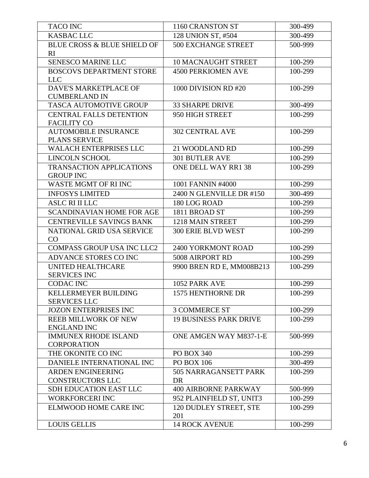| <b>TACO INC</b>                                   | 1160 CRANSTON ST              | 300-499 |
|---------------------------------------------------|-------------------------------|---------|
| <b>KASBAC LLC</b>                                 | 128 UNION ST, #504            | 300-499 |
| <b>BLUE CROSS &amp; BLUE SHIELD OF</b><br>RI      | <b>500 EXCHANGE STREET</b>    | 500-999 |
| SENESCO MARINE LLC                                | <b>10 MACNAUGHT STREET</b>    | 100-299 |
| <b>BOSCOVS DEPARTMENT STORE</b>                   | <b>4500 PERKIOMEN AVE</b>     | 100-299 |
| <b>LLC</b>                                        |                               |         |
| DAVE'S MARKETPLACE OF                             | 1000 DIVISION RD #20          | 100-299 |
| <b>CUMBERLAND IN</b>                              |                               |         |
| TASCA AUTOMOTIVE GROUP                            | <b>33 SHARPE DRIVE</b>        | 300-499 |
| <b>CENTRAL FALLS DETENTION</b>                    | 950 HIGH STREET               | 100-299 |
| <b>FACILITY CO</b>                                |                               |         |
| <b>AUTOMOBILE INSURANCE</b>                       | <b>302 CENTRAL AVE</b>        | 100-299 |
| PLANS SERVICE<br>WALACH ENTERPRISES LLC           | 21 WOODLAND RD                | 100-299 |
| <b>LINCOLN SCHOOL</b>                             | <b>301 BUTLER AVE</b>         | 100-299 |
| <b>TRANSACTION APPLICATIONS</b>                   | ONE DELL WAY RR1 38           | 100-299 |
| <b>GROUP INC</b>                                  |                               |         |
| WASTE MGMT OF RI INC                              | 1001 FANNIN #4000             | 100-299 |
| <b>INFOSYS LIMITED</b>                            | 2400 N GLENVILLE DR #150      | 300-499 |
| <b>ASLC RI II LLC</b>                             | 180 LOG ROAD                  | 100-299 |
| <b>SCANDINAVIAN HOME FOR AGE</b>                  | 1811 BROAD ST                 | 100-299 |
| <b>CENTREVILLE SAVINGS BANK</b>                   | 1218 MAIN STREET              | 100-299 |
| NATIONAL GRID USA SERVICE                         | <b>300 ERIE BLVD WEST</b>     | 100-299 |
| CO                                                |                               |         |
| <b>COMPASS GROUP USA INC LLC2</b>                 | 2400 YORKMONT ROAD            | 100-299 |
| ADVANCE STORES CO INC                             | 5008 AIRPORT RD               | 100-299 |
| UNITED HEALTHCARE                                 | 9900 BREN RD E, MM008B213     | 100-299 |
| <b>SERVICES INC</b>                               |                               |         |
| <b>CODAC INC</b>                                  | 1052 PARK AVE                 | 100-299 |
| <b>KELLERMEYER BUILDING</b>                       | 1575 HENTHORNE DR             | 100-299 |
| <b>SERVICES LLC</b>                               |                               |         |
| <b>JOZON ENTERPRISES INC</b>                      | <b>3 COMMERCE ST</b>          | 100-299 |
| <b>REEB MILLWORK OF NEW</b><br><b>ENGLAND INC</b> | <b>19 BUSINESS PARK DRIVE</b> | 100-299 |
| <b>IMMUNEX RHODE ISLAND</b><br><b>CORPORATION</b> | <b>ONE AMGEN WAY M837-1-E</b> | 500-999 |
| THE OKONITE CO INC                                | PO BOX 340                    | 100-299 |
| DANIELE INTERNATIONAL INC                         | <b>PO BOX 106</b>             | 300-499 |
| <b>ARDEN ENGINEERING</b>                          | 505 NARRAGANSETT PARK         | 100-299 |
| <b>CONSTRUCTORS LLC</b>                           | <b>DR</b>                     |         |
| SDH EDUCATION EAST LLC                            | <b>400 AIRBORNE PARKWAY</b>   | 500-999 |
| <b>WORKFORCERI INC</b>                            | 952 PLAINFIELD ST, UNIT3      | 100-299 |
| ELMWOOD HOME CARE INC                             | 120 DUDLEY STREET, STE<br>201 | 100-299 |
| <b>LOUIS GELLIS</b>                               | <b>14 ROCK AVENUE</b>         | 100-299 |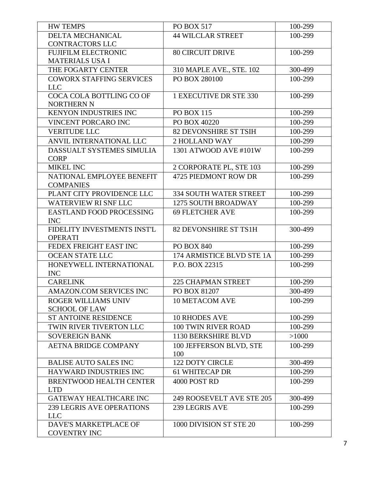| <b>HW TEMPS</b>                                | PO BOX 517                     | 100-299 |
|------------------------------------------------|--------------------------------|---------|
| DELTA MECHANICAL                               | <b>44 WILCLAR STREET</b>       | 100-299 |
| <b>CONTRACTORS LLC</b>                         |                                |         |
| <b>FUJIFILM ELECTRONIC</b>                     | <b>80 CIRCUIT DRIVE</b>        | 100-299 |
| <b>MATERIALS USA I</b>                         |                                |         |
| THE FOGARTY CENTER                             | 310 MAPLE AVE., STE. 102       | 300-499 |
| <b>COWORX STAFFING SERVICES</b><br>LLC         | PO BOX 280100                  | 100-299 |
| COCA COLA BOTTLING CO OF<br><b>NORTHERN N</b>  | 1 EXECUTIVE DR STE 330         | 100-299 |
| KENYON INDUSTRIES INC                          | <b>PO BOX 115</b>              | 100-299 |
| <b>VINCENT PORCARO INC</b>                     | PO BOX 40220                   | 100-299 |
| <b>VERITUDE LLC</b>                            | 82 DEVONSHIRE ST TSIH          | 100-299 |
| ANVIL INTERNATIONAL LLC                        | <b>2 HOLLAND WAY</b>           | 100-299 |
| DASSUALT SYSTEMES SIMULIA<br><b>CORP</b>       | 1301 ATWOOD AVE #101W          | 100-299 |
| <b>MIKEL INC</b>                               | 2 CORPORATE PL, STE 103        | 100-299 |
| NATIONAL EMPLOYEE BENEFIT<br><b>COMPANIES</b>  | 4725 PIEDMONT ROW DR           | 100-299 |
| PLANT CITY PROVIDENCE LLC                      | <b>334 SOUTH WATER STREET</b>  | 100-299 |
| <b>WATERVIEW RI SNF LLC</b>                    | <b>1275 SOUTH BROADWAY</b>     | 100-299 |
| EASTLAND FOOD PROCESSING<br><b>INC</b>         | <b>69 FLETCHER AVE</b>         | 100-299 |
| FIDELITY INVESTMENTS INST'L<br><b>OPERATI</b>  | 82 DEVONSHIRE ST TS1H          | 300-499 |
| FEDEX FREIGHT EAST INC                         | <b>PO BOX 840</b>              | 100-299 |
| <b>OCEAN STATE LLC</b>                         | 174 ARMISTICE BLVD STE 1A      | 100-299 |
| HONEYWELL INTERNATIONAL<br><b>INC</b>          | P.O. BOX 22315                 | 100-299 |
| <b>CARELINK</b>                                | <b>225 CHAPMAN STREET</b>      | 100-299 |
| AMAZON.COM SERVICES INC                        | PO BOX 81207                   | 300-499 |
| ROGER WILLIAMS UNIV<br><b>SCHOOL OF LAW</b>    | <b>10 METACOM AVE</b>          | 100-299 |
| <b>ST ANTOINE RESIDENCE</b>                    | <b>10 RHODES AVE</b>           | 100-299 |
| TWIN RIVER TIVERTON LLC                        | <b>100 TWIN RIVER ROAD</b>     | 100-299 |
| <b>SOVEREIGN BANK</b>                          | 1130 BERKSHIRE BLVD            | >1000   |
| <b>AETNA BRIDGE COMPANY</b>                    | 100 JEFFERSON BLVD, STE<br>100 | 100-299 |
| <b>BALISE AUTO SALES INC</b>                   | <b>122 DOTY CIRCLE</b>         | 300-499 |
| HAYWARD INDUSTRIES INC                         | <b>61 WHITECAP DR</b>          | 100-299 |
| <b>BRENTWOOD HEALTH CENTER</b><br><b>LTD</b>   | 4000 POST RD                   | 100-299 |
| GATEWAY HEALTHCARE INC                         | 249 ROOSEVELT AVE STE 205      | 300-499 |
| <b>239 LEGRIS AVE OPERATIONS</b><br><b>LLC</b> | 239 LEGRIS AVE                 | 100-299 |
| DAVE'S MARKETPLACE OF<br><b>COVENTRY INC</b>   | 1000 DIVISION ST STE 20        | 100-299 |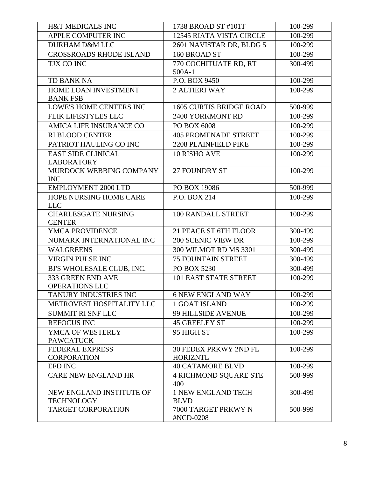| <b>H&amp;T MEDICALS INC</b>                   | 1738 BROAD ST #101T                      | 100-299 |
|-----------------------------------------------|------------------------------------------|---------|
| APPLE COMPUTER INC                            | <b>12545 RIATA VISTA CIRCLE</b>          | 100-299 |
| <b>DURHAM D&amp;M LLC</b>                     | 2601 NAVISTAR DR, BLDG 5                 | 100-299 |
| <b>CROSSROADS RHODE ISLAND</b>                | 160 BROAD ST                             | 100-299 |
| TJX CO INC                                    | 770 COCHITUATE RD, RT                    | 300-499 |
|                                               | $500A-1$                                 |         |
| <b>TD BANK NA</b>                             | P.O. BOX 9450                            | 100-299 |
| HOME LOAN INVESTMENT                          | <b>2 ALTIERI WAY</b>                     | 100-299 |
| <b>BANK FSB</b>                               |                                          |         |
| <b>LOWE'S HOME CENTERS INC</b>                | <b>1605 CURTIS BRIDGE ROAD</b>           | 500-999 |
| FLIK LIFESTYLES LLC                           | 2400 YORKMONT RD                         | 100-299 |
| AMICA LIFE INSURANCE CO                       | PO BOX 6008                              | 100-299 |
| <b>RI BLOOD CENTER</b>                        | <b>405 PROMENADE STREET</b>              | 100-299 |
| PATRIOT HAULING CO INC                        | 2208 PLAINFIELD PIKE                     | 100-299 |
| <b>EAST SIDE CLINICAL</b>                     | 10 RISHO AVE                             | 100-299 |
| <b>LABORATORY</b>                             |                                          |         |
| MURDOCK WEBBING COMPANY                       | 27 FOUNDRY ST                            | 100-299 |
| <b>INC</b>                                    |                                          |         |
| <b>EMPLOYMENT 2000 LTD</b>                    | PO BOX 19086                             | 500-999 |
| HOPE NURSING HOME CARE<br><b>LLC</b>          | P.O. BOX 214                             | 100-299 |
| <b>CHARLESGATE NURSING</b>                    | 100 RANDALL STREET                       | 100-299 |
| <b>CENTER</b>                                 |                                          |         |
| YMCA PROVIDENCE                               | 21 PEACE ST 6TH FLOOR                    | 300-499 |
| NUMARK INTERNATIONAL INC                      | <b>200 SCENIC VIEW DR</b>                | 100-299 |
| <b>WALGREENS</b>                              | 300 WILMOT RD MS 3301                    | 300-499 |
| <b>VIRGIN PULSE INC</b>                       | <b>75 FOUNTAIN STREET</b>                | 300-499 |
| BJ'S WHOLESALE CLUB, INC.                     | PO BOX 5230                              | 300-499 |
| 333 GREEN END AVE                             | 101 EAST STATE STREET                    | 100-299 |
| <b>OPERATIONS LLC</b>                         |                                          |         |
| TANURY INDUSTRIES INC                         | <b>6 NEW ENGLAND WAY</b>                 | 100-299 |
| METROVEST HOSPITALITY LLC                     | <b>1 GOAT ISLAND</b>                     | 100-299 |
| <b>SUMMIT RI SNF LLC</b>                      | 99 HILLSIDE AVENUE                       | 100-299 |
| <b>REFOCUS INC</b>                            | <b>45 GREELEY ST</b>                     | 100-299 |
| YMCA OF WESTERLY                              | 95 HIGH ST                               | 100-299 |
| <b>PAWCATUCK</b>                              |                                          |         |
| <b>FEDERAL EXPRESS</b>                        | <b>30 FEDEX PRKWY 2ND FL</b>             | 100-299 |
| <b>CORPORATION</b>                            | <b>HORIZNTL</b>                          |         |
| <b>EFD INC</b>                                | <b>40 CATAMORE BLVD</b>                  | 100-299 |
| <b>CARE NEW ENGLAND HR</b>                    | <b>4 RICHMOND SQUARE STE</b>             | 500-999 |
|                                               | 400                                      |         |
| NEW ENGLAND INSTITUTE OF<br><b>TECHNOLOGY</b> | <b>1 NEW ENGLAND TECH</b><br><b>BLVD</b> | 300-499 |
| <b>TARGET CORPORATION</b>                     | 7000 TARGET PRKWY N                      | 500-999 |
|                                               | #NCD-0208                                |         |
|                                               |                                          |         |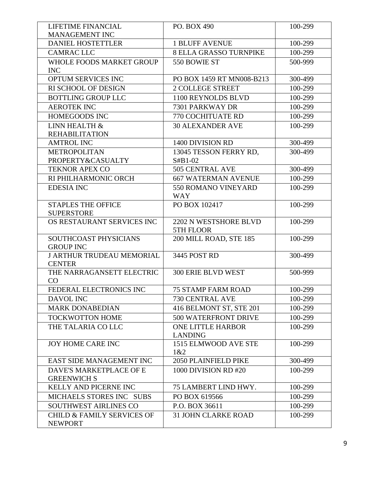| LIFETIME FINANCIAL                             | PO. BOX 490                         | 100-299 |
|------------------------------------------------|-------------------------------------|---------|
| <b>MANAGEMENT INC</b>                          |                                     |         |
| <b>DANIEL HOSTETTLER</b>                       | <b>1 BLUFF AVENUE</b>               | 100-299 |
| <b>CAMRAC LLC</b>                              | <b>8 ELLA GRASSO TURNPIKE</b>       | 100-299 |
| <b>WHOLE FOODS MARKET GROUP</b>                | 550 BOWIE ST                        | 500-999 |
| <b>INC</b>                                     |                                     |         |
| OPTUM SERVICES INC                             | PO BOX 1459 RT MN008-B213           | 300-499 |
| RI SCHOOL OF DESIGN                            | <b>2 COLLEGE STREET</b>             | 100-299 |
| <b>BOTTLING GROUP LLC</b>                      | 1100 REYNOLDS BLVD                  | 100-299 |
| <b>AEROTEK INC</b>                             | 7301 PARKWAY DR                     | 100-299 |
| HOMEGOODS INC                                  | 770 COCHITUATE RD                   | 100-299 |
| LINN HEALTH &                                  | <b>30 ALEXANDER AVE</b>             | 100-299 |
| <b>REHABILITATION</b>                          |                                     |         |
| <b>AMTROL INC</b>                              | 1400 DIVISION RD                    | 300-499 |
| <b>METROPOLITAN</b>                            | 13045 TESSON FERRY RD,              | 300-499 |
| PROPERTY&CASUALTY                              | S#B1-02                             |         |
| <b>TEKNOR APEX CO</b>                          | 505 CENTRAL AVE                     | 300-499 |
| RI PHILHARMONIC ORCH                           | <b>667 WATERMAN AVENUE</b>          | 100-299 |
| <b>EDESIA INC</b>                              | 550 ROMANO VINEYARD                 | 100-299 |
|                                                | <b>WAY</b>                          |         |
| <b>STAPLES THE OFFICE</b><br><b>SUPERSTORE</b> | PO BOX 102417                       | 100-299 |
| OS RESTAURANT SERVICES INC                     | 2202 N WESTSHORE BLVD               | 100-299 |
|                                                | 5TH FLOOR                           |         |
| SOUTHCOAST PHYSICIANS                          | 200 MILL ROAD, STE 185              | 100-299 |
| <b>GROUP INC</b>                               |                                     |         |
| <b>J ARTHUR TRUDEAU MEMORIAL</b>               | 3445 POST RD                        | 300-499 |
| <b>CENTER</b>                                  |                                     |         |
| THE NARRAGANSETT ELECTRIC                      | <b>300 ERIE BLVD WEST</b>           | 500-999 |
| CO                                             |                                     |         |
| FEDERAL ELECTRONICS INC                        | <b>75 STAMP FARM ROAD</b>           | 100-299 |
| DAVOL INC                                      | 730 CENTRAL AVE                     | 100-299 |
| <b>MARK DONABEDIAN</b>                         | 416 BELMONT ST, STE 201             | 100-299 |
| <b>TOCKWOTTON HOME</b>                         | <b>500 WATERFRONT DRIVE</b>         | 100-299 |
| THE TALARIA CO LLC                             | <b>ONE LITTLE HARBOR</b>            | 100-299 |
|                                                | <b>LANDING</b>                      |         |
| <b>JOY HOME CARE INC</b>                       | 1515 ELMWOOD AVE STE                | 100-299 |
| EAST SIDE MANAGEMENT INC                       | 1&82<br><b>2050 PLAINFIELD PIKE</b> | 300-499 |
| <b>DAVE'S MARKETPLACE OF E</b>                 |                                     |         |
| <b>GREENWICH S</b>                             | 1000 DIVISION RD #20                | 100-299 |
| KELLY AND PICERNE INC                          | 75 LAMBERT LIND HWY.                | 100-299 |
| MICHAELS STORES INC SUBS                       | PO BOX 619566                       | 100-299 |
| <b>SOUTHWEST AIRLINES CO</b>                   | P.O. BOX 36611                      | 100-299 |
| <b>CHILD &amp; FAMILY SERVICES OF</b>          | <b>31 JOHN CLARKE ROAD</b>          | 100-299 |
| <b>NEWPORT</b>                                 |                                     |         |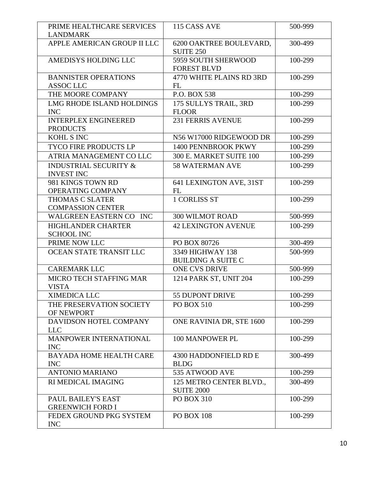| PRIME HEALTHCARE SERVICES<br><b>LANDMARK</b>          | 115 CASS AVE                                  | 500-999 |
|-------------------------------------------------------|-----------------------------------------------|---------|
| APPLE AMERICAN GROUP II LLC                           | 6200 OAKTREE BOULEVARD,<br><b>SUITE 250</b>   | 300-499 |
| AMEDISYS HOLDING LLC                                  | 5959 SOUTH SHERWOOD<br><b>FOREST BLVD</b>     | 100-299 |
| <b>BANNISTER OPERATIONS</b><br><b>ASSOC LLC</b>       | 4770 WHITE PLAINS RD 3RD<br>FL                | 100-299 |
| THE MOORE COMPANY                                     | P.O. BOX 538                                  | 100-299 |
| <b>LMG RHODE ISLAND HOLDINGS</b><br><b>INC</b>        | 175 SULLYS TRAIL, 3RD<br><b>FLOOR</b>         | 100-299 |
| <b>INTERPLEX ENGINEERED</b><br><b>PRODUCTS</b>        | <b>231 FERRIS AVENUE</b>                      | 100-299 |
| <b>KOHL S INC</b>                                     | N56 W17000 RIDGEWOOD DR                       | 100-299 |
| <b>TYCO FIRE PRODUCTS LP</b>                          | 1400 PENNBROOK PKWY                           | 100-299 |
| ATRIA MANAGEMENT CO LLC                               | 300 E. MARKET SUITE 100                       | 100-299 |
| <b>INDUSTRIAL SECURITY &amp;</b><br><b>INVEST INC</b> | <b>58 WATERMAN AVE</b>                        | 100-299 |
| 981 KINGS TOWN RD<br>OPERATING COMPANY                | 641 LEXINGTON AVE, 31ST<br>FL                 | 100-299 |
| <b>THOMAS C SLATER</b><br><b>COMPASSION CENTER</b>    | <b>1 CORLISS ST</b>                           | 100-299 |
| WALGREEN EASTERN CO INC                               | <b>300 WILMOT ROAD</b>                        | 500-999 |
| <b>HIGHLANDER CHARTER</b><br><b>SCHOOL INC</b>        | <b>42 LEXINGTON AVENUE</b>                    | 100-299 |
| PRIME NOW LLC                                         | PO BOX 80726                                  | 300-499 |
| OCEAN STATE TRANSIT LLC                               | 3349 HIGHWAY 138<br><b>BUILDING A SUITE C</b> | 500-999 |
| <b>CAREMARK LLC</b>                                   | <b>ONE CVS DRIVE</b>                          | 500-999 |
| MICRO TECH STAFFING MAR<br><b>VISTA</b>               | 1214 PARK ST, UNIT 204                        | 100-299 |
| <b>XIMEDICA LLC</b>                                   | 55 DUPONT DRIVE                               | 100-299 |
| THE PRESERVATION SOCIETY<br>OF NEWPORT                | <b>PO BOX 510</b>                             | 100-299 |
| DAVIDSON HOTEL COMPANY<br><b>LLC</b>                  | ONE RAVINIA DR, STE 1600                      | 100-299 |
| MANPOWER INTERNATIONAL<br><b>INC</b>                  | 100 MANPOWER PL                               | 100-299 |
| <b>BAYADA HOME HEALTH CARE</b><br><b>INC</b>          | 4300 HADDONFIELD RD E<br><b>BLDG</b>          | 300-499 |
| <b>ANTONIO MARIANO</b>                                | 535 ATWOOD AVE                                | 100-299 |
| RI MEDICAL IMAGING                                    | 125 METRO CENTER BLVD.,<br><b>SUITE 2000</b>  | 300-499 |
| PAUL BAILEY'S EAST<br><b>GREENWICH FORD I</b>         | <b>PO BOX 310</b>                             | 100-299 |
| FEDEX GROUND PKG SYSTEM<br><b>INC</b>                 | <b>PO BOX 108</b>                             | 100-299 |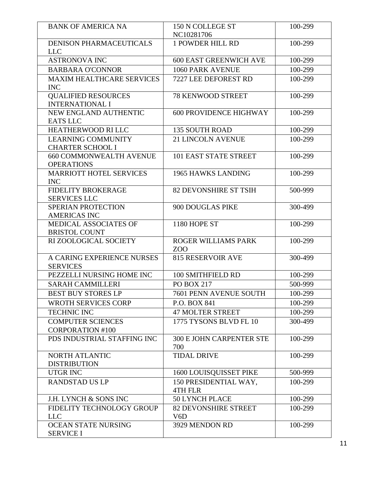| <b>BANK OF AMERICA NA</b>                           | 150 N COLLEGE ST<br>NC10281706               | 100-299 |
|-----------------------------------------------------|----------------------------------------------|---------|
| <b>DENISON PHARMACEUTICALS</b>                      | <b>1 POWDER HILL RD</b>                      | 100-299 |
| <b>LLC</b>                                          |                                              |         |
| <b>ASTRONOVA INC</b>                                | <b>600 EAST GREENWICH AVE</b>                | 100-299 |
| <b>BARBARA O'CONNOR</b>                             | <b>1060 PARK AVENUE</b>                      | 100-299 |
| <b>MAXIM HEALTHCARE SERVICES</b>                    | 7227 LEE DEFOREST RD                         | 100-299 |
| <b>INC</b>                                          |                                              |         |
| <b>QUALIFIED RESOURCES</b>                          | <b>78 KENWOOD STREET</b>                     | 100-299 |
| <b>INTERNATIONAL I</b>                              |                                              |         |
| NEW ENGLAND AUTHENTIC                               | <b>600 PROVIDENCE HIGHWAY</b>                | 100-299 |
| <b>EATS LLC</b>                                     |                                              |         |
| HEATHERWOOD RI LLC                                  | <b>135 SOUTH ROAD</b>                        | 100-299 |
| <b>LEARNING COMMUNITY</b>                           | <b>21 LINCOLN AVENUE</b>                     | 100-299 |
| <b>CHARTER SCHOOL I</b>                             | 101 EAST STATE STREET                        | 100-299 |
| <b>660 COMMONWEALTH AVENUE</b><br><b>OPERATIONS</b> |                                              |         |
| <b>MARRIOTT HOTEL SERVICES</b>                      | <b>1965 HAWKS LANDING</b>                    | 100-299 |
| <b>INC</b>                                          |                                              |         |
| <b>FIDELITY BROKERAGE</b>                           | <b>82 DEVONSHIRE ST TSIH</b>                 | 500-999 |
| <b>SERVICES LLC</b>                                 |                                              |         |
| <b>SPERIAN PROTECTION</b>                           | 900 DOUGLAS PIKE                             | 300-499 |
| <b>AMERICAS INC</b>                                 |                                              |         |
| MEDICAL ASSOCIATES OF                               | 1180 HOPE ST                                 | 100-299 |
| <b>BRISTOL COUNT</b>                                |                                              |         |
| RI ZOOLOGICAL SOCIETY                               | ROGER WILLIAMS PARK                          | 100-299 |
| A CARING EXPERIENCE NURSES                          | Z <sub>O</sub> O<br><b>815 RESERVOIR AVE</b> | 300-499 |
| <b>SERVICES</b>                                     |                                              |         |
| PEZZELLI NURSING HOME INC                           | 100 SMITHFIELD RD                            | 100-299 |
| <b>SARAH CAMMILLERI</b>                             | <b>PO BOX 217</b>                            | 500-999 |
| <b>BEST BUY STORES LP</b>                           | 7601 PENN AVENUE SOUTH                       | 100-299 |
| <b>WROTH SERVICES CORP</b>                          | P.O. BOX 841                                 | 100-299 |
| <b>TECHNIC INC</b>                                  | <b>47 MOLTER STREET</b>                      | 100-299 |
| <b>COMPUTER SCIENCES</b>                            | 1775 TYSONS BLVD FL 10                       | 300-499 |
| <b>CORPORATION #100</b>                             |                                              |         |
| PDS INDUSTRIAL STAFFING INC                         | <b>300 E JOHN CARPENTER STE</b>              | 100-299 |
|                                                     | 700                                          |         |
| NORTH ATLANTIC                                      | <b>TIDAL DRIVE</b>                           | 100-299 |
| <b>DISTRIBUTION</b>                                 |                                              |         |
| <b>UTGR INC</b>                                     | 1600 LOUISQUISSET PIKE                       | 500-999 |
| <b>RANDSTAD US LP</b>                               | 150 PRESIDENTIAL WAY,                        | 100-299 |
| J.H. LYNCH & SONS INC                               | 4TH FLR<br><b>50 LYNCH PLACE</b>             | 100-299 |
| FIDELITY TECHNOLOGY GROUP                           | <b>82 DEVONSHIRE STREET</b>                  | 100-299 |
| <b>LLC</b>                                          | V <sub>6</sub> D                             |         |
| OCEAN STATE NURSING                                 | 3929 MENDON RD                               | 100-299 |
| <b>SERVICE I</b>                                    |                                              |         |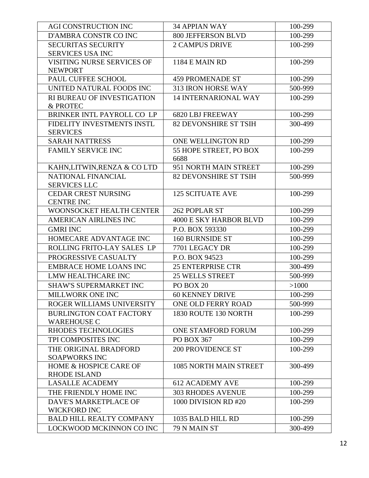| AGI CONSTRUCTION INC                                     | <b>34 APPIAN WAY</b>           | 100-299 |
|----------------------------------------------------------|--------------------------------|---------|
| D'AMBRA CONSTR CO INC                                    | <b>800 JEFFERSON BLVD</b>      | 100-299 |
| <b>SECURITAS SECURITY</b>                                | <b>2 CAMPUS DRIVE</b>          | 100-299 |
| <b>SERVICES USA INC</b>                                  |                                |         |
| VISITING NURSE SERVICES OF                               | <b>1184 E MAIN RD</b>          | 100-299 |
| <b>NEWPORT</b>                                           |                                |         |
| PAUL CUFFEE SCHOOL                                       | <b>459 PROMENADE ST</b>        | 100-299 |
| UNITED NATURAL FOODS INC                                 | 313 IRON HORSE WAY             | 500-999 |
| RI BUREAU OF INVESTIGATION<br>& PROTEC                   | <b>14 INTERNARIONAL WAY</b>    | 100-299 |
| BRINKER INTL PAYROLL CO LP                               | <b>6820 LBJ FREEWAY</b>        | 100-299 |
| FIDELITY INVESTMENTS INSTL<br><b>SERVICES</b>            | <b>82 DEVONSHIRE ST TSIH</b>   | 300-499 |
| <b>SARAH NATTRESS</b>                                    | ONE WELLINGTON RD              | 100-299 |
| <b>FAMILY SERVICE INC</b>                                | 55 HOPE STREET, PO BOX<br>6688 | 100-299 |
| KAHN, LITWIN, RENZA & COLTD                              | 951 NORTH MAIN STREET          | 100-299 |
| NATIONAL FINANCIAL                                       | 82 DEVONSHIRE ST TSIH          | 500-999 |
| <b>SERVICES LLC</b>                                      |                                |         |
| <b>CEDAR CREST NURSING</b>                               | <b>125 SCITUATE AVE</b>        | 100-299 |
| <b>CENTRE INC</b>                                        |                                |         |
| WOONSOCKET HEALTH CENTER                                 | 262 POPLAR ST                  | 100-299 |
| <b>AMERICAN AIRLINES INC</b>                             | <b>4000 E SKY HARBOR BLVD</b>  | 100-299 |
| <b>GMRI INC</b>                                          | P.O. BOX 593330                | 100-299 |
| HOMECARE ADVANTAGE INC                                   | <b>160 BURNSIDE ST</b>         | 100-299 |
| ROLLING FRITO-LAY SALES LP                               | 7701 LEGACY DR                 | 100-299 |
| PROGRESSIVE CASUALTY                                     | P.O. BOX 94523                 | 100-299 |
| <b>EMBRACE HOME LOANS INC</b>                            | <b>25 ENTERPRISE CTR</b>       | 300-499 |
| LMW HEALTHCARE INC                                       | <b>25 WELLS STREET</b>         | 500-999 |
| <b>SHAW'S SUPERMARKET INC</b>                            | PO BOX 20                      | >1000   |
| MILLWORK ONE INC                                         | <b>60 KENNEY DRIVE</b>         | 100-299 |
| ROGER WILLIAMS UNIVERSITY                                | ONE OLD FERRY ROAD             | 500-999 |
| <b>BURLINGTON COAT FACTORY</b><br><b>WAREHOUSE C</b>     | 1830 ROUTE 130 NORTH           | 100-299 |
| RHODES TECHNOLOGIES                                      | <b>ONE STAMFORD FORUM</b>      | 100-299 |
| TPI COMPOSITES INC                                       | PO BOX 367                     | 100-299 |
| THE ORIGINAL BRADFORD<br><b>SOAPWORKS INC</b>            | <b>200 PROVIDENCE ST</b>       | 100-299 |
| <b>HOME &amp; HOSPICE CARE OF</b><br><b>RHODE ISLAND</b> | 1085 NORTH MAIN STREET         | 300-499 |
| <b>LASALLE ACADEMY</b>                                   | <b>612 ACADEMY AVE</b>         | 100-299 |
| THE FRIENDLY HOME INC                                    | <b>303 RHODES AVENUE</b>       | 100-299 |
| DAVE'S MARKETPLACE OF                                    | 1000 DIVISION RD #20           | 100-299 |
| <b>WICKFORD INC</b>                                      |                                |         |
| <b>BALD HILL REALTY COMPANY</b>                          | 1035 BALD HILL RD              | 100-299 |
| LOCKWOOD MCKINNON CO INC                                 | 79 N MAIN ST                   | 300-499 |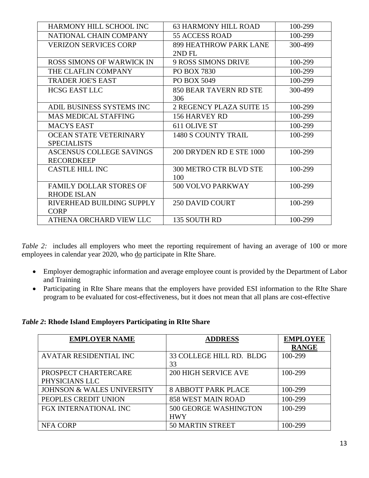| <b>HARMONY HILL SCHOOL INC</b>   | <b>63 HARMONY HILL ROAD</b>   | 100-299 |
|----------------------------------|-------------------------------|---------|
| NATIONAL CHAIN COMPANY           | <b>55 ACCESS ROAD</b>         | 100-299 |
| <b>VERIZON SERVICES CORP</b>     | <b>899 HEATHROW PARK LANE</b> | 300-499 |
|                                  | 2ND FL                        |         |
| <b>ROSS SIMONS OF WARWICK IN</b> | <b>9 ROSS SIMONS DRIVE</b>    | 100-299 |
| THE CLAFLIN COMPANY              | PO BOX 7830                   | 100-299 |
| <b>TRADER JOE'S EAST</b>         | PO BOX 5049                   | 100-299 |
| <b>HCSG EAST LLC</b>             | 850 BEAR TAVERN RD STE        | 300-499 |
|                                  | 306                           |         |
| ADIL BUSINESS SYSTEMS INC        | 2 REGENCY PLAZA SUITE 15      | 100-299 |
| <b>MAS MEDICAL STAFFING</b>      | 156 HARVEY RD                 | 100-299 |
| <b>MACYS EAST</b>                | 611 OLIVE ST                  | 100-299 |
| <b>OCEAN STATE VETERINARY</b>    | <b>1480 S COUNTY TRAIL</b>    | 100-299 |
| <b>SPECIALISTS</b>               |                               |         |
| <b>ASCENSUS COLLEGE SAVINGS</b>  | 200 DRYDEN RD E STE 1000      | 100-299 |
| <b>RECORDKEEP</b>                |                               |         |
| <b>CASTLE HILL INC</b>           | <b>300 METRO CTR BLVD STE</b> | 100-299 |
|                                  | 100                           |         |
| <b>FAMILY DOLLAR STORES OF</b>   | 500 VOLVO PARKWAY             | 100-299 |
| <b>RHODE ISLAN</b>               |                               |         |
| RIVERHEAD BUILDING SUPPLY        | <b>250 DAVID COURT</b>        | 100-299 |
| <b>CORP</b>                      |                               |         |
| ATHENA ORCHARD VIEW LLC          | 135 SOUTH RD                  | 100-299 |

*Table* 2: includes all employers who meet the reporting requirement of having an average of 100 or more employees in calendar year 2020, who do participate in RIte Share.

- Employer demographic information and average employee count is provided by the Department of Labor and Training
- Participating in RIte Share means that the employers have provided ESI information to the RIte Share program to be evaluated for cost-effectiveness, but it does not mean that all plans are cost-effective

#### *Table 2***: Rhode Island Employers Participating in RIte Share**

| <b>EMPLOYER NAME</b>                  | <b>ADDRESS</b>              | <b>EMPLOYEE</b> |
|---------------------------------------|-----------------------------|-----------------|
|                                       |                             | <b>RANGE</b>    |
| <b>AVATAR RESIDENTIAL INC</b>         | 33 COLLEGE HILL RD. BLDG    | 100-299         |
|                                       | 33                          |                 |
| PROSPECT CHARTERCARE                  | <b>200 HIGH SERVICE AVE</b> | 100-299         |
| PHYSICIANS LLC                        |                             |                 |
| <b>JOHNSON &amp; WALES UNIVERSITY</b> | <b>8 ABBOTT PARK PLACE</b>  | 100-299         |
| PEOPLES CREDIT UNION                  | <b>858 WEST MAIN ROAD</b>   | 100-299         |
| <b>FGX INTERNATIONAL INC</b>          | 500 GEORGE WASHINGTON       | 100-299         |
|                                       | <b>HWY</b>                  |                 |
| NFA CORP                              | <b>50 MARTIN STREET</b>     | 100-299         |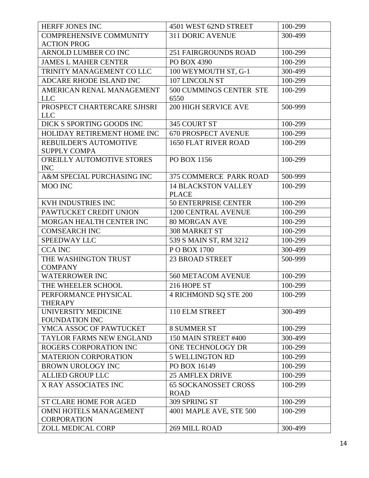| HERFF JONES INC                                      | 4501 WEST 62ND STREET                      | 100-299 |
|------------------------------------------------------|--------------------------------------------|---------|
| <b>COMPREHENSIVE COMMUNITY</b>                       | <b>311 DORIC AVENUE</b>                    | 300-499 |
| <b>ACTION PROG</b>                                   |                                            |         |
| ARNOLD LUMBER CO INC                                 | <b>251 FAIRGROUNDS ROAD</b>                | 100-299 |
| <b>JAMES L MAHER CENTER</b>                          | PO BOX 4390                                | 100-299 |
| TRINITY MANAGEMENT CO LLC                            | 100 WEYMOUTH ST, G-1                       | 300-499 |
| <b>ADCARE RHODE ISLAND INC</b>                       | 107 LINCOLN ST                             | 100-299 |
| AMERICAN RENAL MANAGEMENT<br><b>LLC</b>              | 500 CUMMINGS CENTER STE<br>6550            | 100-299 |
| PROSPECT CHARTERCARE SJHSRI<br><b>LLC</b>            | <b>200 HIGH SERVICE AVE</b>                | 500-999 |
| DICK S SPORTING GOODS INC                            | 345 COURT ST                               | 100-299 |
| HOLIDAY RETIREMENT HOME INC                          | <b>670 PROSPECT AVENUE</b>                 | 100-299 |
| <b>REBUILDER'S AUTOMOTIVE</b><br><b>SUPPLY COMPA</b> | <b>1650 FLAT RIVER ROAD</b>                | 100-299 |
| O'REILLY AUTOMOTIVE STORES<br><b>INC</b>             | PO BOX 1156                                | 100-299 |
| A&M SPECIAL PURCHASING INC                           | 375 COMMERCE PARK ROAD                     | 500-999 |
| <b>MOO INC</b>                                       | <b>14 BLACKSTON VALLEY</b><br><b>PLACE</b> | 100-299 |
| KVH INDUSTRIES INC                                   | <b>50 ENTERPRISE CENTER</b>                | 100-299 |
| PAWTUCKET CREDIT UNION                               | <b>1200 CENTRAL AVENUE</b>                 | 100-299 |
| MORGAN HEALTH CENTER INC                             | <b>80 MORGAN AVE</b>                       | 100-299 |
| <b>COMSEARCH INC</b>                                 | <b>308 MARKET ST</b>                       | 100-299 |
| <b>SPEEDWAY LLC</b>                                  | 539 S MAIN ST, RM 3212                     | 100-299 |
| <b>CCA INC</b>                                       | POBOX 1700                                 | 300-499 |
| THE WASHINGTON TRUST<br><b>COMPANY</b>               | <b>23 BROAD STREET</b>                     | 500-999 |
| <b>WATERROWER INC</b>                                | 560 METACOM AVENUE                         | 100-299 |
| THE WHEELER SCHOOL                                   | 216 HOPE ST                                | 100-299 |
| PERFORMANCE PHYSICAL<br><b>THERAPY</b>               | <b>4 RICHMOND SQ STE 200</b>               | 100-299 |
| UNIVERSITY MEDICINE<br>FOUNDATION INC                | 110 ELM STREET                             | 300-499 |
| YMCA ASSOC OF PAWTUCKET                              | <b>8 SUMMER ST</b>                         | 100-299 |
| TAYLOR FARMS NEW ENGLAND                             | 150 MAIN STREET #400                       | 300-499 |
| ROGERS CORPORATION INC                               | ONE TECHNOLOGY DR                          | 100-299 |
| <b>MATERION CORPORATION</b>                          | <b>5 WELLINGTON RD</b>                     | 100-299 |
| <b>BROWN UROLOGY INC</b>                             | PO BOX 16149                               | 100-299 |
| <b>ALLIED GROUP LLC</b>                              | <b>25 AMFLEX DRIVE</b>                     | 100-299 |
| X RAY ASSOCIATES INC                                 | <b>65 SOCKANOSSET CROSS</b><br><b>ROAD</b> | 100-299 |
| <b>ST CLARE HOME FOR AGED</b>                        | 309 SPRING ST                              | 100-299 |
| OMNI HOTELS MANAGEMENT<br><b>CORPORATION</b>         | 4001 MAPLE AVE, STE 500                    | 100-299 |
| ZOLL MEDICAL CORP                                    | 269 MILL ROAD                              | 300-499 |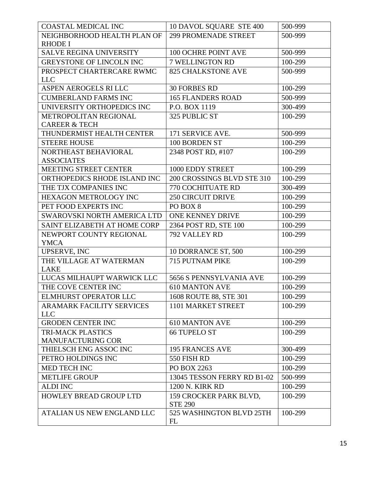| <b>COASTAL MEDICAL INC</b>             | 10 DAVOL SQUARE STE 400                  | 500-999 |
|----------------------------------------|------------------------------------------|---------|
| NEIGHBORHOOD HEALTH PLAN OF            | <b>299 PROMENADE STREET</b>              | 500-999 |
| <b>RHODE I</b>                         |                                          |         |
| <b>SALVE REGINA UNIVERSITY</b>         | 100 OCHRE POINT AVE                      | 500-999 |
| GREYSTONE OF LINCOLN INC               | 7 WELLINGTON RD                          | 100-299 |
| PROSPECT CHARTERCARE RWMC              | <b>825 CHALKSTONE AVE</b>                | 500-999 |
| <b>LLC</b>                             |                                          |         |
| <b>ASPEN AEROGELS RI LLC</b>           | <b>30 FORBES RD</b>                      | 100-299 |
| <b>CUMBERLAND FARMS INC</b>            | <b>165 FLANDERS ROAD</b>                 | 500-999 |
| UNIVERSITY ORTHOPEDICS INC             | P.O. BOX 1119                            | 300-499 |
| METROPOLITAN REGIONAL                  | 325 PUBLIC ST                            | 100-299 |
| <b>CAREER &amp; TECH</b>               |                                          |         |
| THUNDERMIST HEALTH CENTER              | 171 SERVICE AVE.                         | 500-999 |
| <b>STEERE HOUSE</b>                    | 100 BORDEN ST                            | 100-299 |
| NORTHEAST BEHAVIORAL                   | 2348 POST RD, #107                       | 100-299 |
| <b>ASSOCIATES</b>                      |                                          |         |
| <b>MEETING STREET CENTER</b>           | 1000 EDDY STREET                         | 100-299 |
| ORTHOPEDICS RHODE ISLAND INC           | 200 CROSSINGS BLVD STE 310               | 100-299 |
| THE TJX COMPANIES INC                  | 770 COCHITUATE RD                        | 300-499 |
| HEXAGON METROLOGY INC                  | <b>250 CIRCUIT DRIVE</b>                 | 100-299 |
| PET FOOD EXPERTS INC                   | PO BOX 8                                 | 100-299 |
| SWAROVSKI NORTH AMERICA LTD            | ONE KENNEY DRIVE                         | 100-299 |
| SAINT ELIZABETH AT HOME CORP           | 2364 POST RD, STE 100                    | 100-299 |
| NEWPORT COUNTY REGIONAL                | 792 VALLEY RD                            | 100-299 |
| <b>YMCA</b>                            |                                          |         |
| UPSERVE, INC                           | 10 DORRANCE ST, 500                      | 100-299 |
| THE VILLAGE AT WATERMAN                | 715 PUTNAM PIKE                          | 100-299 |
| <b>LAKE</b>                            |                                          |         |
| LUCAS MILHAUPT WARWICK LLC             | 5656 S PENNSYLVANIA AVE                  | 100-299 |
| THE COVE CENTER INC                    | <b>610 MANTON AVE</b>                    | 100-299 |
| <b>ELMHURST OPERATOR LLC</b>           | 1608 ROUTE 88, STE 301                   | 100-299 |
| <b>ARAMARK FACILITY SERVICES</b>       | 1101 MARKET STREET                       | 100-299 |
| <b>LLC</b><br><b>GRODEN CENTER INC</b> | <b>610 MANTON AVE</b>                    | 100-299 |
| <b>TRI-MACK PLASTICS</b>               |                                          |         |
| <b>MANUFACTURING COR</b>               | <b>66 TUPELO ST</b>                      | 100-299 |
| THIELSCH ENG ASSOC INC                 | <b>195 FRANCES AVE</b>                   | 300-499 |
| PETRO HOLDINGS INC                     | 550 FISH RD                              | 100-299 |
| MED TECH INC                           | PO BOX 2263                              | 100-299 |
| <b>METLIFE GROUP</b>                   | 13045 TESSON FERRY RD B1-02              | 500-999 |
|                                        |                                          |         |
| <b>ALDI INC</b>                        | <b>1200 N. KIRK RD</b>                   | 100-299 |
| <b>HOWLEY BREAD GROUP LTD</b>          | 159 CROCKER PARK BLVD,<br><b>STE 290</b> | 100-299 |
| ATALIAN US NEW ENGLAND LLC             | 525 WASHINGTON BLVD 25TH<br>FL           | 100-299 |
|                                        |                                          |         |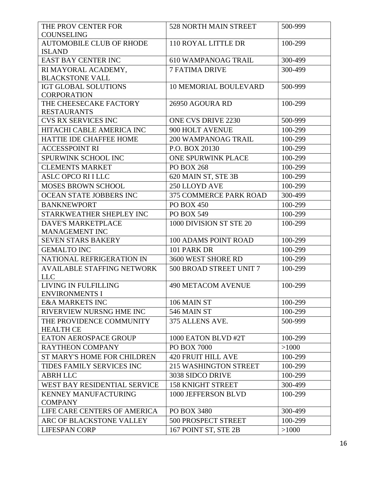| THE PROV CENTER FOR<br><b>COUNSELING</b>            | 528 NORTH MAIN STREET         | 500-999 |
|-----------------------------------------------------|-------------------------------|---------|
| <b>AUTOMOBILE CLUB OF RHODE</b><br><b>ISLAND</b>    | 110 ROYAL LITTLE DR           | 100-299 |
| <b>EAST BAY CENTER INC</b>                          | <b>610 WAMPANOAG TRAIL</b>    | 300-499 |
| RI MAYORAL ACADEMY,                                 | <b>7 FATIMA DRIVE</b>         | 300-499 |
| <b>BLACKSTONE VALL</b>                              |                               |         |
| <b>IGT GLOBAL SOLUTIONS</b>                         | <b>10 MEMORIAL BOULEVARD</b>  | 500-999 |
| <b>CORPORATION</b>                                  |                               |         |
| THE CHEESECAKE FACTORY                              | 26950 AGOURA RD               | 100-299 |
| <b>RESTAURANTS</b>                                  |                               |         |
| <b>CVS RX SERVICES INC</b>                          | ONE CVS DRIVE 2230            | 500-999 |
| HITACHI CABLE AMERICA INC                           | 900 HOLT AVENUE               | 100-299 |
| HATTIE IDE CHAFFEE HOME                             | <b>200 WAMPANOAG TRAIL</b>    | 100-299 |
| <b>ACCESSPOINT RI</b>                               | P.O. BOX 20130                | 100-299 |
| SPURWINK SCHOOL INC                                 | <b>ONE SPURWINK PLACE</b>     | 100-299 |
| <b>CLEMENTS MARKET</b>                              | <b>PO BOX 268</b>             | 100-299 |
| <b>ASLC OPCO RI I LLC</b>                           | 620 MAIN ST, STE 3B           | 100-299 |
| <b>MOSES BROWN SCHOOL</b>                           | 250 LLOYD AVE                 | 100-299 |
| OCEAN STATE JOBBERS INC                             | <b>375 COMMERCE PARK ROAD</b> | 300-499 |
| <b>BANKNEWPORT</b>                                  | <b>PO BOX 450</b>             | 100-299 |
| STARKWEATHER SHEPLEY INC                            | <b>PO BOX 549</b>             | 100-299 |
| <b>DAVE'S MARKETPLACE</b>                           | 1000 DIVISION ST STE 20       | 100-299 |
| <b>MANAGEMENT INC</b>                               |                               |         |
| <b>SEVEN STARS BAKERY</b>                           | 100 ADAMS POINT ROAD          | 100-299 |
| <b>GEMALTO INC</b>                                  | 101 PARK DR                   | 100-299 |
| NATIONAL REFRIGERATION IN                           | 3600 WEST SHORE RD            | 100-299 |
| <b>AVAILABLE STAFFING NETWORK</b><br><b>LLC</b>     | 500 BROAD STREET UNIT 7       | 100-299 |
| LIVING IN FULFILLING                                | <b>490 METACOM AVENUE</b>     | 100-299 |
| <b>ENVIRONMENTS I</b><br><b>E&amp;A MARKETS INC</b> |                               |         |
|                                                     | 106 MAIN ST                   | 100-299 |
| RIVERVIEW NURSNG HME INC                            | 546 MAIN ST                   | 100-299 |
| THE PROVIDENCE COMMUNITY<br><b>HEALTH CE</b>        | 375 ALLENS AVE.               | 500-999 |
| <b>EATON AEROSPACE GROUP</b>                        | 1000 EATON BLVD #2T           | 100-299 |
| <b>RAYTHEON COMPANY</b>                             | PO BOX 7000                   | >1000   |
| <b>ST MARY'S HOME FOR CHILDREN</b>                  | <b>420 FRUIT HILL AVE</b>     | 100-299 |
| TIDES FAMILY SERVICES INC                           | <b>215 WASHINGTON STREET</b>  | 100-299 |
| <b>ABRH LLC</b>                                     | 3038 SIDCO DRIVE              | 100-299 |
| WEST BAY RESIDENTIAL SERVICE                        | <b>158 KNIGHT STREET</b>      | 300-499 |
| <b>KENNEY MANUFACTURING</b><br><b>COMPANY</b>       | 1000 JEFFERSON BLVD           | 100-299 |
| LIFE CARE CENTERS OF AMERICA                        | PO BOX 3480                   | 300-499 |
| ARC OF BLACKSTONE VALLEY                            | <b>500 PROSPECT STREET</b>    | 100-299 |
| <b>LIFESPAN CORP</b>                                | 167 POINT ST, STE 2B          | >1000   |
|                                                     |                               |         |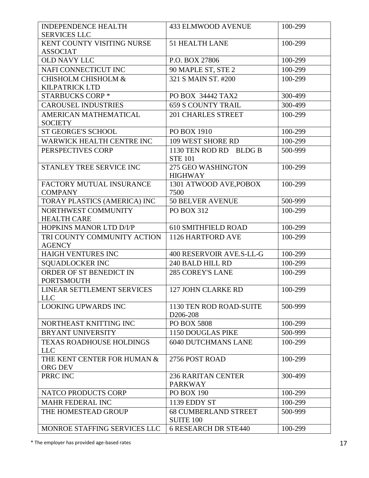| <b>INDEPENDENCE HEALTH</b><br><b>SERVICES LLC</b> | <b>433 ELMWOOD AVENUE</b>                       | 100-299 |
|---------------------------------------------------|-------------------------------------------------|---------|
| KENT COUNTY VISITING NURSE                        | <b>51 HEALTH LANE</b>                           | 100-299 |
| <b>ASSOCIAT</b>                                   |                                                 |         |
| <b>OLD NAVY LLC</b>                               | P.O. BOX 27806                                  | 100-299 |
| NAFI CONNECTICUT INC                              | 90 MAPLE ST, STE 2                              | 100-299 |
| <b>CHISHOLM CHISHOLM &amp;</b>                    | 321 S MAIN ST. #200                             | 100-299 |
| <b>KILPATRICK LTD</b>                             |                                                 |         |
| <b>STARBUCKS CORP*</b>                            | PO BOX 34442 TAX2                               | 300-499 |
| <b>CAROUSEL INDUSTRIES</b>                        | <b>659 S COUNTY TRAIL</b>                       | 300-499 |
| AMERICAN MATHEMATICAL                             | <b>201 CHARLES STREET</b>                       | 100-299 |
| <b>SOCIETY</b>                                    |                                                 |         |
| <b>ST GEORGE'S SCHOOL</b>                         | PO BOX 1910                                     | 100-299 |
| <b>WARWICK HEALTH CENTRE INC</b>                  | 109 WEST SHORE RD                               | 100-299 |
| PERSPECTIVES CORP                                 | 1130 TEN ROD RD BLDG B                          | 500-999 |
|                                                   | <b>STE 101</b>                                  |         |
| <b>STANLEY TREE SERVICE INC</b>                   | 275 GEO WASHINGTON                              | 100-299 |
|                                                   | <b>HIGHWAY</b>                                  |         |
| FACTORY MUTUAL INSURANCE                          | 1301 ATWOOD AVE, POBOX                          | 100-299 |
| <b>COMPANY</b>                                    | 7500                                            |         |
| TORAY PLASTICS (AMERICA) INC                      | <b>50 BELVER AVENUE</b>                         | 500-999 |
| NORTHWEST COMMUNITY                               | <b>PO BOX 312</b>                               | 100-299 |
| <b>HEALTH CARE</b>                                |                                                 |         |
| HOPKINS MANOR LTD D/I/P                           | <b>610 SMITHFIELD ROAD</b>                      | 100-299 |
| TRI COUNTY COMMUNITY ACTION<br><b>AGENCY</b>      | 1126 HARTFORD AVE                               | 100-299 |
| HAIGH VENTURES INC                                | 400 RESERVOIR AVE.S-LL-G                        | 100-299 |
| <b>SQUADLOCKER INC</b>                            | 240 BALD HILL RD                                | 100-299 |
| ORDER OF ST BENEDICT IN                           | <b>285 COREY'S LANE</b>                         | 100-299 |
| <b>PORTSMOUTH</b>                                 |                                                 |         |
| LINEAR SETTLEMENT SERVICES                        | 127 JOHN CLARKE RD                              | 100-299 |
| <b>LLC</b>                                        |                                                 |         |
| <b>LOOKING UPWARDS INC</b>                        | 1130 TEN ROD ROAD-SUITE                         | 500-999 |
| NORTHEAST KNITTING INC                            | D <sub>206</sub> -208<br><b>PO BOX 5808</b>     | 100-299 |
| <b>BRYANT UNIVERSITY</b>                          |                                                 | 500-999 |
|                                                   | 1150 DOUGLAS PIKE                               |         |
| <b>TEXAS ROADHOUSE HOLDINGS</b><br><b>LLC</b>     | <b>6040 DUTCHMANS LANE</b>                      | 100-299 |
| THE KENT CENTER FOR HUMAN &                       | 2756 POST ROAD                                  | 100-299 |
| ORG DEV                                           |                                                 |         |
| PRRC INC                                          | <b>236 RARITAN CENTER</b>                       | 300-499 |
| NATCO PRODUCTS CORP                               | <b>PARKWAY</b><br><b>PO BOX 190</b>             | 100-299 |
|                                                   |                                                 |         |
| <b>MAHR FEDERAL INC</b>                           | 1139 EDDY ST                                    | 100-299 |
| THE HOMESTEAD GROUP                               | <b>68 CUMBERLAND STREET</b><br><b>SUITE 100</b> | 500-999 |
| MONROE STAFFING SERVICES LLC                      | <b>6 RESEARCH DR STE440</b>                     | 100-299 |

\* The employer has provided age-based rates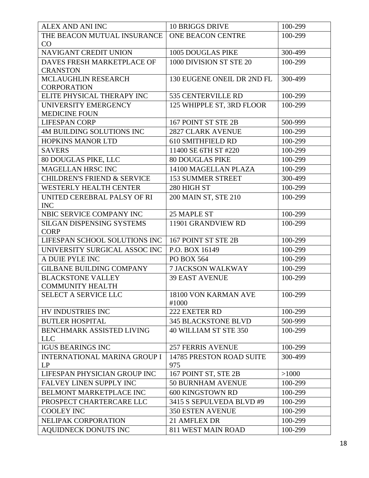| THE BEACON MUTUAL INSURANCE<br>ONE BEACON CENTRE<br>100-299<br>CO<br><b>NAVIGANT CREDIT UNION</b><br><b>1005 DOUGLAS PIKE</b><br>300-499<br>DAVES FRESH MARKETPLACE OF<br>1000 DIVISION ST STE 20<br>100-299<br><b>CRANSTON</b><br>300-499<br><b>MCLAUGHLIN RESEARCH</b><br>130 EUGENE ONEIL DR 2ND FL<br><b>CORPORATION</b><br>ELITE PHYSICAL THERAPY INC<br>100-299<br>535 CENTERVILLE RD<br>UNIVERSITY EMERGENCY<br>125 WHIPPLE ST, 3RD FLOOR<br>100-299<br><b>MEDICINE FOUN</b><br>500-999<br><b>LIFESPAN CORP</b><br>167 POINT ST STE 2B<br>4M BUILDING SOLUTIONS INC<br><b>2827 CLARK AVENUE</b><br>100-299<br><b>HOPKINS MANOR LTD</b><br><b>610 SMITHFIELD RD</b><br>100-299<br>100-299<br>11400 SE 6TH ST #220<br><b>SAVERS</b><br>100-299<br>80 DOUGLAS PIKE, LLC<br><b>80 DOUGLAS PIKE</b><br><b>MAGELLAN HRSC INC</b><br>100-299<br>14100 MAGELLAN PLAZA<br><b>153 SUMMER STREET</b><br><b>CHILDREN'S FRIEND &amp; SERVICE</b><br>300-499<br><b>WESTERLY HEALTH CENTER</b><br>280 HIGH ST<br>100-299<br>100-299<br>UNITED CEREBRAL PALSY OF RI<br>200 MAIN ST, STE 210<br><b>INC</b><br>NBIC SERVICE COMPANY INC<br>25 MAPLE ST<br>100-299<br>100-299<br><b>SILGAN DISPENSING SYSTEMS</b><br>11901 GRANDVIEW RD<br><b>CORP</b><br>LIFESPAN SCHOOL SOLUTIONS INC<br>167 POINT ST STE 2B<br>100-299<br>100-299<br>UNIVERSITY SURGICAL ASSOC INC<br>P.O. BOX 16149<br>A DUIE PYLE INC<br>PO BOX 564<br>100-299<br><b>GILBANE BUILDING COMPANY</b><br>100-299<br><b>7 JACKSON WALKWAY</b><br><b>BLACKSTONE VALLEY</b><br><b>39 EAST AVENUE</b><br>100-299<br><b>COMMUNITY HEALTH</b><br><b>SELECT A SERVICE LLC</b><br>18100 VON KARMAN AVE<br>100-299<br>#1000<br>100-299<br>HV INDUSTRIES INC<br>222 EXETER RD<br><b>345 BLACKSTONE BLVD</b><br><b>BUTLER HOSPITAL</b><br>500-999<br>BENCHMARK ASSISTED LIVING<br>40 WILLIAM ST STE 350<br>100-299<br><b>LLC</b><br><b>IGUS BEARINGS INC</b><br>100-299<br><b>257 FERRIS AVENUE</b><br><b>INTERNATIONAL MARINA GROUP I</b><br>14785 PRESTON ROAD SUITE<br>300-499<br>LP<br>975<br>LIFESPAN PHYSICIAN GROUP INC<br>167 POINT ST, STE 2B<br>>1000<br>FALVEY LINEN SUPPLY INC<br><b>50 BURNHAM AVENUE</b><br>100-299<br>BELMONT MARKETPLACE INC<br>600 KINGSTOWN RD<br>100-299<br>PROSPECT CHARTERCARE LLC<br>3415 S SEPULVEDA BLVD #9<br>100-299<br><b>COOLEY INC</b><br><b>350 ESTEN AVENUE</b><br>100-299<br>100-299<br>NELIPAK CORPORATION<br>21 AMFLEX DR | ALEX AND ANI INC            | <b>10 BRIGGS DRIVE</b> | 100-299 |
|-----------------------------------------------------------------------------------------------------------------------------------------------------------------------------------------------------------------------------------------------------------------------------------------------------------------------------------------------------------------------------------------------------------------------------------------------------------------------------------------------------------------------------------------------------------------------------------------------------------------------------------------------------------------------------------------------------------------------------------------------------------------------------------------------------------------------------------------------------------------------------------------------------------------------------------------------------------------------------------------------------------------------------------------------------------------------------------------------------------------------------------------------------------------------------------------------------------------------------------------------------------------------------------------------------------------------------------------------------------------------------------------------------------------------------------------------------------------------------------------------------------------------------------------------------------------------------------------------------------------------------------------------------------------------------------------------------------------------------------------------------------------------------------------------------------------------------------------------------------------------------------------------------------------------------------------------------------------------------------------------------------------------------------------------------------------------------------------------------------------------------------------------------------------------------------------------------------------------------------------------------------------------------------------------------------------------------------------------------------------------------------------------------------------------|-----------------------------|------------------------|---------|
|                                                                                                                                                                                                                                                                                                                                                                                                                                                                                                                                                                                                                                                                                                                                                                                                                                                                                                                                                                                                                                                                                                                                                                                                                                                                                                                                                                                                                                                                                                                                                                                                                                                                                                                                                                                                                                                                                                                                                                                                                                                                                                                                                                                                                                                                                                                                                                                                                       |                             |                        |         |
|                                                                                                                                                                                                                                                                                                                                                                                                                                                                                                                                                                                                                                                                                                                                                                                                                                                                                                                                                                                                                                                                                                                                                                                                                                                                                                                                                                                                                                                                                                                                                                                                                                                                                                                                                                                                                                                                                                                                                                                                                                                                                                                                                                                                                                                                                                                                                                                                                       |                             |                        |         |
|                                                                                                                                                                                                                                                                                                                                                                                                                                                                                                                                                                                                                                                                                                                                                                                                                                                                                                                                                                                                                                                                                                                                                                                                                                                                                                                                                                                                                                                                                                                                                                                                                                                                                                                                                                                                                                                                                                                                                                                                                                                                                                                                                                                                                                                                                                                                                                                                                       |                             |                        |         |
|                                                                                                                                                                                                                                                                                                                                                                                                                                                                                                                                                                                                                                                                                                                                                                                                                                                                                                                                                                                                                                                                                                                                                                                                                                                                                                                                                                                                                                                                                                                                                                                                                                                                                                                                                                                                                                                                                                                                                                                                                                                                                                                                                                                                                                                                                                                                                                                                                       |                             |                        |         |
|                                                                                                                                                                                                                                                                                                                                                                                                                                                                                                                                                                                                                                                                                                                                                                                                                                                                                                                                                                                                                                                                                                                                                                                                                                                                                                                                                                                                                                                                                                                                                                                                                                                                                                                                                                                                                                                                                                                                                                                                                                                                                                                                                                                                                                                                                                                                                                                                                       |                             |                        |         |
|                                                                                                                                                                                                                                                                                                                                                                                                                                                                                                                                                                                                                                                                                                                                                                                                                                                                                                                                                                                                                                                                                                                                                                                                                                                                                                                                                                                                                                                                                                                                                                                                                                                                                                                                                                                                                                                                                                                                                                                                                                                                                                                                                                                                                                                                                                                                                                                                                       |                             |                        |         |
|                                                                                                                                                                                                                                                                                                                                                                                                                                                                                                                                                                                                                                                                                                                                                                                                                                                                                                                                                                                                                                                                                                                                                                                                                                                                                                                                                                                                                                                                                                                                                                                                                                                                                                                                                                                                                                                                                                                                                                                                                                                                                                                                                                                                                                                                                                                                                                                                                       |                             |                        |         |
|                                                                                                                                                                                                                                                                                                                                                                                                                                                                                                                                                                                                                                                                                                                                                                                                                                                                                                                                                                                                                                                                                                                                                                                                                                                                                                                                                                                                                                                                                                                                                                                                                                                                                                                                                                                                                                                                                                                                                                                                                                                                                                                                                                                                                                                                                                                                                                                                                       |                             |                        |         |
|                                                                                                                                                                                                                                                                                                                                                                                                                                                                                                                                                                                                                                                                                                                                                                                                                                                                                                                                                                                                                                                                                                                                                                                                                                                                                                                                                                                                                                                                                                                                                                                                                                                                                                                                                                                                                                                                                                                                                                                                                                                                                                                                                                                                                                                                                                                                                                                                                       |                             |                        |         |
|                                                                                                                                                                                                                                                                                                                                                                                                                                                                                                                                                                                                                                                                                                                                                                                                                                                                                                                                                                                                                                                                                                                                                                                                                                                                                                                                                                                                                                                                                                                                                                                                                                                                                                                                                                                                                                                                                                                                                                                                                                                                                                                                                                                                                                                                                                                                                                                                                       |                             |                        |         |
|                                                                                                                                                                                                                                                                                                                                                                                                                                                                                                                                                                                                                                                                                                                                                                                                                                                                                                                                                                                                                                                                                                                                                                                                                                                                                                                                                                                                                                                                                                                                                                                                                                                                                                                                                                                                                                                                                                                                                                                                                                                                                                                                                                                                                                                                                                                                                                                                                       |                             |                        |         |
|                                                                                                                                                                                                                                                                                                                                                                                                                                                                                                                                                                                                                                                                                                                                                                                                                                                                                                                                                                                                                                                                                                                                                                                                                                                                                                                                                                                                                                                                                                                                                                                                                                                                                                                                                                                                                                                                                                                                                                                                                                                                                                                                                                                                                                                                                                                                                                                                                       |                             |                        |         |
|                                                                                                                                                                                                                                                                                                                                                                                                                                                                                                                                                                                                                                                                                                                                                                                                                                                                                                                                                                                                                                                                                                                                                                                                                                                                                                                                                                                                                                                                                                                                                                                                                                                                                                                                                                                                                                                                                                                                                                                                                                                                                                                                                                                                                                                                                                                                                                                                                       |                             |                        |         |
|                                                                                                                                                                                                                                                                                                                                                                                                                                                                                                                                                                                                                                                                                                                                                                                                                                                                                                                                                                                                                                                                                                                                                                                                                                                                                                                                                                                                                                                                                                                                                                                                                                                                                                                                                                                                                                                                                                                                                                                                                                                                                                                                                                                                                                                                                                                                                                                                                       |                             |                        |         |
|                                                                                                                                                                                                                                                                                                                                                                                                                                                                                                                                                                                                                                                                                                                                                                                                                                                                                                                                                                                                                                                                                                                                                                                                                                                                                                                                                                                                                                                                                                                                                                                                                                                                                                                                                                                                                                                                                                                                                                                                                                                                                                                                                                                                                                                                                                                                                                                                                       |                             |                        |         |
|                                                                                                                                                                                                                                                                                                                                                                                                                                                                                                                                                                                                                                                                                                                                                                                                                                                                                                                                                                                                                                                                                                                                                                                                                                                                                                                                                                                                                                                                                                                                                                                                                                                                                                                                                                                                                                                                                                                                                                                                                                                                                                                                                                                                                                                                                                                                                                                                                       |                             |                        |         |
|                                                                                                                                                                                                                                                                                                                                                                                                                                                                                                                                                                                                                                                                                                                                                                                                                                                                                                                                                                                                                                                                                                                                                                                                                                                                                                                                                                                                                                                                                                                                                                                                                                                                                                                                                                                                                                                                                                                                                                                                                                                                                                                                                                                                                                                                                                                                                                                                                       |                             |                        |         |
|                                                                                                                                                                                                                                                                                                                                                                                                                                                                                                                                                                                                                                                                                                                                                                                                                                                                                                                                                                                                                                                                                                                                                                                                                                                                                                                                                                                                                                                                                                                                                                                                                                                                                                                                                                                                                                                                                                                                                                                                                                                                                                                                                                                                                                                                                                                                                                                                                       |                             |                        |         |
|                                                                                                                                                                                                                                                                                                                                                                                                                                                                                                                                                                                                                                                                                                                                                                                                                                                                                                                                                                                                                                                                                                                                                                                                                                                                                                                                                                                                                                                                                                                                                                                                                                                                                                                                                                                                                                                                                                                                                                                                                                                                                                                                                                                                                                                                                                                                                                                                                       |                             |                        |         |
|                                                                                                                                                                                                                                                                                                                                                                                                                                                                                                                                                                                                                                                                                                                                                                                                                                                                                                                                                                                                                                                                                                                                                                                                                                                                                                                                                                                                                                                                                                                                                                                                                                                                                                                                                                                                                                                                                                                                                                                                                                                                                                                                                                                                                                                                                                                                                                                                                       |                             |                        |         |
|                                                                                                                                                                                                                                                                                                                                                                                                                                                                                                                                                                                                                                                                                                                                                                                                                                                                                                                                                                                                                                                                                                                                                                                                                                                                                                                                                                                                                                                                                                                                                                                                                                                                                                                                                                                                                                                                                                                                                                                                                                                                                                                                                                                                                                                                                                                                                                                                                       |                             |                        |         |
|                                                                                                                                                                                                                                                                                                                                                                                                                                                                                                                                                                                                                                                                                                                                                                                                                                                                                                                                                                                                                                                                                                                                                                                                                                                                                                                                                                                                                                                                                                                                                                                                                                                                                                                                                                                                                                                                                                                                                                                                                                                                                                                                                                                                                                                                                                                                                                                                                       |                             |                        |         |
|                                                                                                                                                                                                                                                                                                                                                                                                                                                                                                                                                                                                                                                                                                                                                                                                                                                                                                                                                                                                                                                                                                                                                                                                                                                                                                                                                                                                                                                                                                                                                                                                                                                                                                                                                                                                                                                                                                                                                                                                                                                                                                                                                                                                                                                                                                                                                                                                                       |                             |                        |         |
|                                                                                                                                                                                                                                                                                                                                                                                                                                                                                                                                                                                                                                                                                                                                                                                                                                                                                                                                                                                                                                                                                                                                                                                                                                                                                                                                                                                                                                                                                                                                                                                                                                                                                                                                                                                                                                                                                                                                                                                                                                                                                                                                                                                                                                                                                                                                                                                                                       |                             |                        |         |
|                                                                                                                                                                                                                                                                                                                                                                                                                                                                                                                                                                                                                                                                                                                                                                                                                                                                                                                                                                                                                                                                                                                                                                                                                                                                                                                                                                                                                                                                                                                                                                                                                                                                                                                                                                                                                                                                                                                                                                                                                                                                                                                                                                                                                                                                                                                                                                                                                       |                             |                        |         |
|                                                                                                                                                                                                                                                                                                                                                                                                                                                                                                                                                                                                                                                                                                                                                                                                                                                                                                                                                                                                                                                                                                                                                                                                                                                                                                                                                                                                                                                                                                                                                                                                                                                                                                                                                                                                                                                                                                                                                                                                                                                                                                                                                                                                                                                                                                                                                                                                                       |                             |                        |         |
|                                                                                                                                                                                                                                                                                                                                                                                                                                                                                                                                                                                                                                                                                                                                                                                                                                                                                                                                                                                                                                                                                                                                                                                                                                                                                                                                                                                                                                                                                                                                                                                                                                                                                                                                                                                                                                                                                                                                                                                                                                                                                                                                                                                                                                                                                                                                                                                                                       |                             |                        |         |
|                                                                                                                                                                                                                                                                                                                                                                                                                                                                                                                                                                                                                                                                                                                                                                                                                                                                                                                                                                                                                                                                                                                                                                                                                                                                                                                                                                                                                                                                                                                                                                                                                                                                                                                                                                                                                                                                                                                                                                                                                                                                                                                                                                                                                                                                                                                                                                                                                       |                             |                        |         |
|                                                                                                                                                                                                                                                                                                                                                                                                                                                                                                                                                                                                                                                                                                                                                                                                                                                                                                                                                                                                                                                                                                                                                                                                                                                                                                                                                                                                                                                                                                                                                                                                                                                                                                                                                                                                                                                                                                                                                                                                                                                                                                                                                                                                                                                                                                                                                                                                                       |                             |                        |         |
|                                                                                                                                                                                                                                                                                                                                                                                                                                                                                                                                                                                                                                                                                                                                                                                                                                                                                                                                                                                                                                                                                                                                                                                                                                                                                                                                                                                                                                                                                                                                                                                                                                                                                                                                                                                                                                                                                                                                                                                                                                                                                                                                                                                                                                                                                                                                                                                                                       |                             |                        |         |
|                                                                                                                                                                                                                                                                                                                                                                                                                                                                                                                                                                                                                                                                                                                                                                                                                                                                                                                                                                                                                                                                                                                                                                                                                                                                                                                                                                                                                                                                                                                                                                                                                                                                                                                                                                                                                                                                                                                                                                                                                                                                                                                                                                                                                                                                                                                                                                                                                       |                             |                        |         |
|                                                                                                                                                                                                                                                                                                                                                                                                                                                                                                                                                                                                                                                                                                                                                                                                                                                                                                                                                                                                                                                                                                                                                                                                                                                                                                                                                                                                                                                                                                                                                                                                                                                                                                                                                                                                                                                                                                                                                                                                                                                                                                                                                                                                                                                                                                                                                                                                                       |                             |                        |         |
|                                                                                                                                                                                                                                                                                                                                                                                                                                                                                                                                                                                                                                                                                                                                                                                                                                                                                                                                                                                                                                                                                                                                                                                                                                                                                                                                                                                                                                                                                                                                                                                                                                                                                                                                                                                                                                                                                                                                                                                                                                                                                                                                                                                                                                                                                                                                                                                                                       |                             |                        |         |
|                                                                                                                                                                                                                                                                                                                                                                                                                                                                                                                                                                                                                                                                                                                                                                                                                                                                                                                                                                                                                                                                                                                                                                                                                                                                                                                                                                                                                                                                                                                                                                                                                                                                                                                                                                                                                                                                                                                                                                                                                                                                                                                                                                                                                                                                                                                                                                                                                       |                             |                        |         |
|                                                                                                                                                                                                                                                                                                                                                                                                                                                                                                                                                                                                                                                                                                                                                                                                                                                                                                                                                                                                                                                                                                                                                                                                                                                                                                                                                                                                                                                                                                                                                                                                                                                                                                                                                                                                                                                                                                                                                                                                                                                                                                                                                                                                                                                                                                                                                                                                                       |                             |                        |         |
|                                                                                                                                                                                                                                                                                                                                                                                                                                                                                                                                                                                                                                                                                                                                                                                                                                                                                                                                                                                                                                                                                                                                                                                                                                                                                                                                                                                                                                                                                                                                                                                                                                                                                                                                                                                                                                                                                                                                                                                                                                                                                                                                                                                                                                                                                                                                                                                                                       |                             |                        |         |
|                                                                                                                                                                                                                                                                                                                                                                                                                                                                                                                                                                                                                                                                                                                                                                                                                                                                                                                                                                                                                                                                                                                                                                                                                                                                                                                                                                                                                                                                                                                                                                                                                                                                                                                                                                                                                                                                                                                                                                                                                                                                                                                                                                                                                                                                                                                                                                                                                       |                             |                        |         |
|                                                                                                                                                                                                                                                                                                                                                                                                                                                                                                                                                                                                                                                                                                                                                                                                                                                                                                                                                                                                                                                                                                                                                                                                                                                                                                                                                                                                                                                                                                                                                                                                                                                                                                                                                                                                                                                                                                                                                                                                                                                                                                                                                                                                                                                                                                                                                                                                                       |                             |                        |         |
|                                                                                                                                                                                                                                                                                                                                                                                                                                                                                                                                                                                                                                                                                                                                                                                                                                                                                                                                                                                                                                                                                                                                                                                                                                                                                                                                                                                                                                                                                                                                                                                                                                                                                                                                                                                                                                                                                                                                                                                                                                                                                                                                                                                                                                                                                                                                                                                                                       |                             |                        |         |
|                                                                                                                                                                                                                                                                                                                                                                                                                                                                                                                                                                                                                                                                                                                                                                                                                                                                                                                                                                                                                                                                                                                                                                                                                                                                                                                                                                                                                                                                                                                                                                                                                                                                                                                                                                                                                                                                                                                                                                                                                                                                                                                                                                                                                                                                                                                                                                                                                       |                             |                        |         |
|                                                                                                                                                                                                                                                                                                                                                                                                                                                                                                                                                                                                                                                                                                                                                                                                                                                                                                                                                                                                                                                                                                                                                                                                                                                                                                                                                                                                                                                                                                                                                                                                                                                                                                                                                                                                                                                                                                                                                                                                                                                                                                                                                                                                                                                                                                                                                                                                                       |                             |                        |         |
|                                                                                                                                                                                                                                                                                                                                                                                                                                                                                                                                                                                                                                                                                                                                                                                                                                                                                                                                                                                                                                                                                                                                                                                                                                                                                                                                                                                                                                                                                                                                                                                                                                                                                                                                                                                                                                                                                                                                                                                                                                                                                                                                                                                                                                                                                                                                                                                                                       |                             |                        |         |
|                                                                                                                                                                                                                                                                                                                                                                                                                                                                                                                                                                                                                                                                                                                                                                                                                                                                                                                                                                                                                                                                                                                                                                                                                                                                                                                                                                                                                                                                                                                                                                                                                                                                                                                                                                                                                                                                                                                                                                                                                                                                                                                                                                                                                                                                                                                                                                                                                       | <b>AQUIDNECK DONUTS INC</b> | 811 WEST MAIN ROAD     | 100-299 |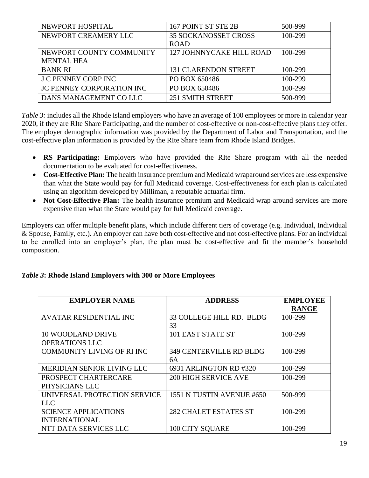| NEWPORT HOSPITAL           | 167 POINT ST STE 2B         | 500-999 |
|----------------------------|-----------------------------|---------|
| NEWPORT CREAMERY LLC       | <b>35 SOCKANOSSET CROSS</b> | 100-299 |
|                            | <b>ROAD</b>                 |         |
| NEWPORT COUNTY COMMUNITY   | 127 JOHNNYCAKE HILL ROAD    | 100-299 |
| <b>MENTAL HEA</b>          |                             |         |
| <b>BANK RI</b>             | <b>131 CLARENDON STREET</b> | 100-299 |
| <b>J C PENNEY CORP INC</b> | PO BOX 650486               | 100-299 |
| JC PENNEY CORPORATION INC  | PO BOX 650486               | 100-299 |
| DANS MANAGEMENT CO LLC     | 251 SMITH STREET            | 500-999 |

*Table* 3: includes all the Rhode Island employers who have an average of 100 employees or more in calendar year 2020, if they are RIte Share Participating, and the number of cost-effective or non-cost-effective plans they offer. The employer demographic information was provided by the Department of Labor and Transportation, and the cost-effective plan information is provided by the RIte Share team from Rhode Island Bridges.

- **RS Participating:** Employers who have provided the RIte Share program with all the needed documentation to be evaluated for cost-effectiveness.
- **Cost-Effective Plan:** The health insurance premium and Medicaid wraparound services are less expensive than what the State would pay for full Medicaid coverage. Cost-effectiveness for each plan is calculated using an algorithm developed by Milliman, a reputable actuarial firm.
- **Not Cost-Effective Plan:** The health insurance premium and Medicaid wrap around services are more expensive than what the State would pay for full Medicaid coverage.

Employers can offer multiple benefit plans, which include different tiers of coverage (e.g. Individual, Individual & Spouse, Family, etc.). An employer can have both cost-effective and not cost-effective plans. For an individual to be enrolled into an employer's plan, the plan must be cost-effective and fit the member's household composition.

## *Table 3***: Rhode Island Employers with 300 or More Employees**

| <b>EMPLOYER NAME</b>              | <b>ADDRESS</b>                 | <b>EMPLOYEE</b> |
|-----------------------------------|--------------------------------|-----------------|
|                                   |                                | <b>RANGE</b>    |
| <b>AVATAR RESIDENTIAL INC</b>     | 33 COLLEGE HILL RD. BLDG       | 100-299         |
|                                   | 33                             |                 |
| <b>10 WOODLAND DRIVE</b>          | 101 EAST STATE ST              | 100-299         |
| <b>OPERATIONS LLC</b>             |                                |                 |
| <b>COMMUNITY LIVING OF RI INC</b> | <b>349 CENTERVILLE RD BLDG</b> | 100-299         |
|                                   | 6A                             |                 |
| MERIDIAN SENIOR LIVING LLC        | 6931 ARLINGTON RD #320         | 100-299         |
| PROSPECT CHARTERCARE              | <b>200 HIGH SERVICE AVE</b>    | 100-299         |
| PHYSICIANS LLC                    |                                |                 |
| UNIVERSAL PROTECTION SERVICE      | 1551 N TUSTIN AVENUE #650      | 500-999         |
| <b>LLC</b>                        |                                |                 |
| <b>SCIENCE APPLICATIONS</b>       | <b>282 CHALET ESTATES ST</b>   | 100-299         |
| <b>INTERNATIONAL</b>              |                                |                 |
| NTT DATA SERVICES LLC             | <b>100 CITY SQUARE</b>         | 100-299         |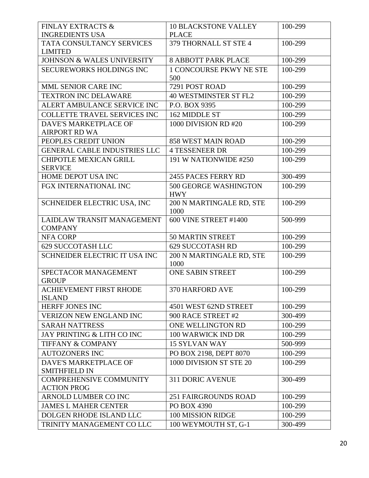| <b>FINLAY EXTRACTS &amp;</b>          | <b>10 BLACKSTONE VALLEY</b>      | 100-299 |
|---------------------------------------|----------------------------------|---------|
| <b>INGREDIENTS USA</b>                | <b>PLACE</b>                     |         |
| TATA CONSULTANCY SERVICES             | 379 THORNALL ST STE 4            | 100-299 |
| <b>LIMITED</b>                        |                                  |         |
| <b>JOHNSON &amp; WALES UNIVERSITY</b> | <b>8 ABBOTT PARK PLACE</b>       | 100-299 |
| <b>SECUREWORKS HOLDINGS INC</b>       | <b>1 CONCOURSE PKWY NE STE</b>   | 100-299 |
|                                       | 500                              |         |
| MML SENIOR CARE INC                   | 7291 POST ROAD                   | 100-299 |
| <b>TEXTRON INC DELAWARE</b>           | <b>40 WESTMINSTER ST FL2</b>     | 100-299 |
| ALERT AMBULANCE SERVICE INC           | P.O. BOX 9395                    | 100-299 |
| <b>COLLETTE TRAVEL SERVICES INC</b>   | 162 MIDDLE ST                    | 100-299 |
| DAVE'S MARKETPLACE OF                 | 1000 DIVISION RD #20             | 100-299 |
| <b>AIRPORT RD WA</b>                  |                                  |         |
| PEOPLES CREDIT UNION                  | 858 WEST MAIN ROAD               | 100-299 |
| <b>GENERAL CABLE INDUSTRIES LLC</b>   | <b>4 TESSENEER DR</b>            | 100-299 |
| <b>CHIPOTLE MEXICAN GRILL</b>         | 191 W NATIONWIDE #250            | 100-299 |
| <b>SERVICE</b>                        |                                  |         |
| HOME DEPOT USA INC                    | 2455 PACES FERRY RD              | 300-499 |
| FGX INTERNATIONAL INC                 | 500 GEORGE WASHINGTON            | 100-299 |
|                                       | <b>HWY</b>                       |         |
| SCHNEIDER ELECTRIC USA, INC           | 200 N MARTINGALE RD, STE<br>1000 | 100-299 |
| LAIDLAW TRANSIT MANAGEMENT            | 600 VINE STREET #1400            | 500-999 |
| <b>COMPANY</b>                        |                                  |         |
| <b>NFA CORP</b>                       | <b>50 MARTIN STREET</b>          | 100-299 |
| 629 SUCCOTASH LLC                     | <b>629 SUCCOTASH RD</b>          | 100-299 |
| SCHNEIDER ELECTRIC IT USA INC         | 200 N MARTINGALE RD, STE         | 100-299 |
|                                       | 1000                             |         |
| SPECTACOR MANAGEMENT                  | <b>ONE SABIN STREET</b>          | 100-299 |
| <b>GROUP</b>                          |                                  |         |
| <b>ACHIEVEMENT FIRST RHODE</b>        | 370 HARFORD AVE                  | 100-299 |
| <b>ISLAND</b>                         |                                  |         |
| HERFF JONES INC                       | 4501 WEST 62ND STREET            | 100-299 |
| <b>VERIZON NEW ENGLAND INC</b>        | 900 RACE STREET #2               | 300-499 |
| <b>SARAH NATTRESS</b>                 | ONE WELLINGTON RD                | 100-299 |
| JAY PRINTING & LITH CO INC            | 100 WARWICK IND DR               | 100-299 |
| <b>TIFFANY &amp; COMPANY</b>          | <b>15 SYLVAN WAY</b>             | 500-999 |
| <b>AUTOZONERS INC</b>                 | PO BOX 2198, DEPT 8070           | 100-299 |
| DAVE'S MARKETPLACE OF                 | 1000 DIVISION ST STE 20          | 100-299 |
| <b>SMITHFIELD IN</b>                  |                                  |         |
| <b>COMPREHENSIVE COMMUNITY</b>        | <b>311 DORIC AVENUE</b>          | 300-499 |
| <b>ACTION PROG</b>                    |                                  |         |
| ARNOLD LUMBER CO INC                  | <b>251 FAIRGROUNDS ROAD</b>      | 100-299 |
| <b>JAMES L MAHER CENTER</b>           | PO BOX 4390                      | 100-299 |
| DOLGEN RHODE ISLAND LLC               | 100 MISSION RIDGE                | 100-299 |
| TRINITY MANAGEMENT CO LLC             | 100 WEYMOUTH ST, G-1             | 300-499 |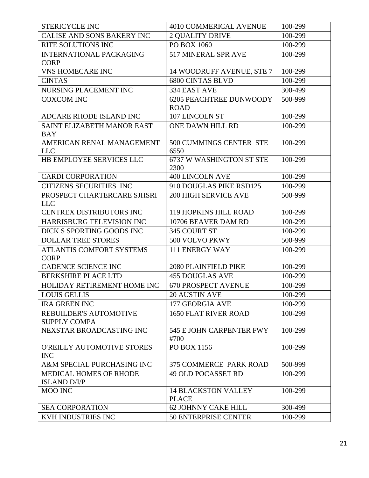| <b>STERICYCLE INC</b>           | 4010 COMMERICAL AVENUE           | 100-299 |
|---------------------------------|----------------------------------|---------|
| CALISE AND SONS BAKERY INC      | <b>2 QUALITY DRIVE</b>           | 100-299 |
| RITE SOLUTIONS INC              | PO BOX 1060                      | 100-299 |
| <b>INTERNATIONAL PACKAGING</b>  | 517 MINERAL SPR AVE              | 100-299 |
| <b>CORP</b>                     |                                  |         |
| <b>VNS HOMECARE INC</b>         | 14 WOODRUFF AVENUE, STE 7        | 100-299 |
| <b>CINTAS</b>                   | <b>6800 CINTAS BLVD</b>          | 100-299 |
| NURSING PLACEMENT INC           | 334 EAST AVE                     | 300-499 |
| <b>COXCOM INC</b>               | <b>6205 PEACHTREE DUNWOODY</b>   | 500-999 |
|                                 | <b>ROAD</b>                      |         |
| ADCARE RHODE ISLAND INC         | 107 LINCOLN ST                   | 100-299 |
| SAINT ELIZABETH MANOR EAST      | ONE DAWN HILL RD                 | 100-299 |
| <b>BAY</b>                      |                                  |         |
| AMERICAN RENAL MANAGEMENT       | 500 CUMMINGS CENTER STE          | 100-299 |
| <b>LLC</b>                      | 6550                             |         |
| HB EMPLOYEE SERVICES LLC        | 6737 W WASHINGTON ST STE<br>2300 | 100-299 |
| <b>CARDI CORPORATION</b>        | <b>400 LINCOLN AVE</b>           | 100-299 |
| <b>CITIZENS SECURITIES INC</b>  | 910 DOUGLAS PIKE RSD125          | 100-299 |
| PROSPECT CHARTERCARE SJHSRI     | <b>200 HIGH SERVICE AVE</b>      | 500-999 |
| <b>LLC</b>                      |                                  |         |
| CENTREX DISTRIBUTORS INC        | <b>119 HOPKINS HILL ROAD</b>     | 100-299 |
| HARRISBURG TELEVISION INC       | 10706 BEAVER DAM RD              | 100-299 |
| DICK S SPORTING GOODS INC       | 345 COURT ST                     | 100-299 |
| <b>DOLLAR TREE STORES</b>       | 500 VOLVO PKWY                   | 500-999 |
| <b>ATLANTIS COMFORT SYSTEMS</b> | 111 ENERGY WAY                   | 100-299 |
| <b>CORP</b>                     |                                  |         |
| <b>CADENCE SCIENCE INC</b>      | 2080 PLAINFIELD PIKE             | 100-299 |
| <b>BERKSHIRE PLACE LTD</b>      | <b>455 DOUGLAS AVE</b>           | 100-299 |
| HOLIDAY RETIREMENT HOME INC     | <b>670 PROSPECT AVENUE</b>       | 100-299 |
| <b>LOUIS GELLIS</b>             | 20 AUSTIN AVE                    | 100-299 |
| <b>IRA GREEN INC</b>            | 177 GEORGIA AVE                  | 100-299 |
| <b>REBUILDER'S AUTOMOTIVE</b>   | <b>1650 FLAT RIVER ROAD</b>      | 100-299 |
| <b>SUPPLY COMPA</b>             |                                  |         |
| NEXSTAR BROADCASTING INC        | 545 E JOHN CARPENTER FWY<br>#700 | 100-299 |
| O'REILLY AUTOMOTIVE STORES      | PO BOX 1156                      | 100-299 |
| <b>INC</b>                      |                                  |         |
| A&M SPECIAL PURCHASING INC      | <b>375 COMMERCE PARK ROAD</b>    | 500-999 |
| <b>MEDICAL HOMES OF RHODE</b>   | <b>49 OLD POCASSET RD</b>        | 100-299 |
| <b>ISLAND D/I/P</b>             |                                  |         |
| <b>MOO INC</b>                  | <b>14 BLACKSTON VALLEY</b>       | 100-299 |
|                                 | <b>PLACE</b>                     |         |
| <b>SEA CORPORATION</b>          | <b>62 JOHNNY CAKE HILL</b>       | 300-499 |
| <b>KVH INDUSTRIES INC</b>       | <b>50 ENTERPRISE CENTER</b>      | 100-299 |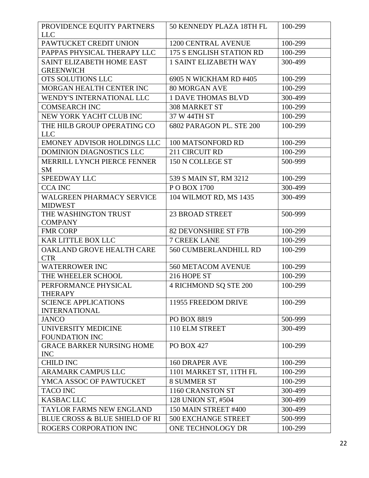| PROVIDENCE EQUITY PARTNERS<br><b>LLC</b>             | 50 KENNEDY PLAZA 18TH FL     | 100-299 |
|------------------------------------------------------|------------------------------|---------|
| PAWTUCKET CREDIT UNION                               | <b>1200 CENTRAL AVENUE</b>   | 100-299 |
| PAPPAS PHYSICAL THERAPY LLC                          | 175 S ENGLISH STATION RD     | 100-299 |
| <b>SAINT ELIZABETH HOME EAST</b><br><b>GREENWICH</b> | <b>1 SAINT ELIZABETH WAY</b> | 300-499 |
| OTS SOLUTIONS LLC                                    | 6905 N WICKHAM RD #405       | 100-299 |
| MORGAN HEALTH CENTER INC                             | <b>80 MORGAN AVE</b>         | 100-299 |
| WENDY'S INTERNATIONAL LLC                            | <b>1 DAVE THOMAS BLVD</b>    | 300-499 |
| <b>COMSEARCH INC</b>                                 | <b>308 MARKET ST</b>         | 100-299 |
| NEW YORK YACHT CLUB INC                              | 37 W 44TH ST                 | 100-299 |
| THE HILB GROUP OPERATING CO<br><b>LLC</b>            | 6802 PARAGON PL. STE 200     | 100-299 |
| <b>EMONEY ADVISOR HOLDINGS LLC</b>                   | 100 MATSONFORD RD            | 100-299 |
| <b>DOMINION DIAGNOSTICS LLC</b>                      | 211 CIRCUIT RD               | 100-299 |
| <b>MERRILL LYNCH PIERCE FENNER</b><br>SM             | 150 N COLLEGE ST             | 500-999 |
| <b>SPEEDWAY LLC</b>                                  | 539 S MAIN ST, RM 3212       | 100-299 |
| <b>CCA INC</b>                                       | POBOX 1700                   | 300-499 |
| <b>WALGREEN PHARMACY SERVICE</b><br><b>MIDWEST</b>   | 104 WILMOT RD, MS 1435       | 300-499 |
| THE WASHINGTON TRUST<br><b>COMPANY</b>               | <b>23 BROAD STREET</b>       | 500-999 |
| <b>FMR CORP</b>                                      | <b>82 DEVONSHIRE ST F7B</b>  | 100-299 |
| <b>KAR LITTLE BOX LLC</b>                            | <b>7 CREEK LANE</b>          | 100-299 |
| OAKLAND GROVE HEALTH CARE<br><b>CTR</b>              | <b>560 CUMBERLANDHILL RD</b> | 100-299 |
| <b>WATERROWER INC</b>                                | 560 METACOM AVENUE           | 100-299 |
| THE WHEELER SCHOOL                                   | 216 HOPE ST                  | 100-299 |
| PERFORMANCE PHYSICAL<br><b>THERAPY</b>               | <b>4 RICHMOND SQ STE 200</b> | 100-299 |
| <b>SCIENCE APPLICATIONS</b><br><b>INTERNATIONAL</b>  | 11955 FREEDOM DRIVE          | 100-299 |
| <b>JANCO</b>                                         | PO BOX 8819                  | 500-999 |
| UNIVERSITY MEDICINE<br>FOUNDATION INC                | 110 ELM STREET               | 300-499 |
| <b>GRACE BARKER NURSING HOME</b><br><b>INC</b>       | <b>PO BOX 427</b>            | 100-299 |
| <b>CHILD INC</b>                                     | <b>160 DRAPER AVE</b>        | 100-299 |
| <b>ARAMARK CAMPUS LLC</b>                            | 1101 MARKET ST, 11TH FL      | 100-299 |
| YMCA ASSOC OF PAWTUCKET                              | <b>8 SUMMER ST</b>           | 100-299 |
| <b>TACO INC</b>                                      | 1160 CRANSTON ST             | 300-499 |
| <b>KASBAC LLC</b>                                    | 128 UNION ST, #504           | 300-499 |
| <b>TAYLOR FARMS NEW ENGLAND</b>                      | 150 MAIN STREET #400         | 300-499 |
| <b>BLUE CROSS &amp; BLUE SHIELD OF RI</b>            | <b>500 EXCHANGE STREET</b>   | 500-999 |
| ROGERS CORPORATION INC                               | ONE TECHNOLOGY DR            | 100-299 |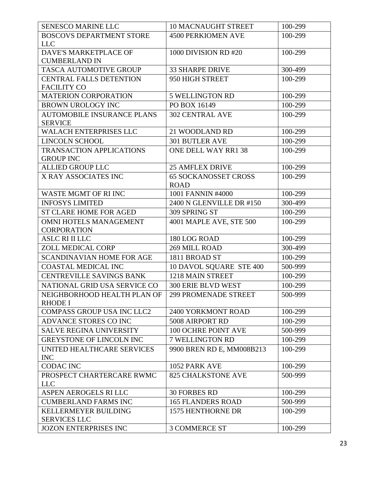| <b>SENESCO MARINE LLC</b>                            | <b>10 MACNAUGHT STREET</b>                 | 100-299 |
|------------------------------------------------------|--------------------------------------------|---------|
| <b>BOSCOVS DEPARTMENT STORE</b>                      | <b>4500 PERKIOMEN AVE</b>                  | 100-299 |
| <b>LLC</b>                                           |                                            |         |
| DAVE'S MARKETPLACE OF                                | 1000 DIVISION RD #20                       | 100-299 |
| <b>CUMBERLAND IN</b>                                 |                                            |         |
| TASCA AUTOMOTIVE GROUP                               | <b>33 SHARPE DRIVE</b>                     | 300-499 |
| <b>CENTRAL FALLS DETENTION</b><br><b>FACILITY CO</b> | 950 HIGH STREET                            | 100-299 |
| <b>MATERION CORPORATION</b>                          | <b>5 WELLINGTON RD</b>                     | 100-299 |
| <b>BROWN UROLOGY INC</b>                             | PO BOX 16149                               | 100-299 |
| <b>AUTOMOBILE INSURANCE PLANS</b><br><b>SERVICE</b>  | <b>302 CENTRAL AVE</b>                     | 100-299 |
| <b>WALACH ENTERPRISES LLC</b>                        | 21 WOODLAND RD                             | 100-299 |
| <b>LINCOLN SCHOOL</b>                                | <b>301 BUTLER AVE</b>                      | 100-299 |
| <b>TRANSACTION APPLICATIONS</b><br><b>GROUP INC</b>  | ONE DELL WAY RR1 38                        | 100-299 |
| <b>ALLIED GROUP LLC</b>                              | <b>25 AMFLEX DRIVE</b>                     | 100-299 |
| X RAY ASSOCIATES INC                                 | <b>65 SOCKANOSSET CROSS</b><br><b>ROAD</b> | 100-299 |
| <b>WASTE MGMT OF RI INC</b>                          | 1001 FANNIN #4000                          | 100-299 |
| <b>INFOSYS LIMITED</b>                               | 2400 N GLENVILLE DR #150                   | 300-499 |
| <b>ST CLARE HOME FOR AGED</b>                        | 309 SPRING ST                              | 100-299 |
| <b>OMNI HOTELS MANAGEMENT</b>                        | 4001 MAPLE AVE, STE 500                    | 100-299 |
| <b>CORPORATION</b>                                   |                                            |         |
| ASLC RI II LLC                                       | 180 LOG ROAD                               | 100-299 |
| ZOLL MEDICAL CORP                                    | 269 MILL ROAD                              | 300-499 |
| SCANDINAVIAN HOME FOR AGE                            | 1811 BROAD ST                              | 100-299 |
| <b>COASTAL MEDICAL INC</b>                           | 10 DAVOL SQUARE STE 400                    | 500-999 |
| <b>CENTREVILLE SAVINGS BANK</b>                      | 1218 MAIN STREET                           | 100-299 |
| NATIONAL GRID USA SERVICE CO                         | <b>300 ERIE BLVD WEST</b>                  | 100-299 |
| NEIGHBORHOOD HEALTH PLAN OF<br><b>RHODE I</b>        | <b>299 PROMENADE STREET</b>                | 500-999 |
| <b>COMPASS GROUP USA INC LLC2</b>                    | 2400 YORKMONT ROAD                         | 100-299 |
| ADVANCE STORES CO INC                                | 5008 AIRPORT RD                            | 100-299 |
| <b>SALVE REGINA UNIVERSITY</b>                       | 100 OCHRE POINT AVE                        | 500-999 |
| <b>GREYSTONE OF LINCOLN INC</b>                      | 7 WELLINGTON RD                            | 100-299 |
| UNITED HEALTHCARE SERVICES<br><b>INC</b>             | 9900 BREN RD E, MM008B213                  | 100-299 |
| <b>CODAC INC</b>                                     | 1052 PARK AVE                              | 100-299 |
| PROSPECT CHARTERCARE RWMC                            | <b>825 CHALKSTONE AVE</b>                  | 500-999 |
| <b>LLC</b>                                           |                                            |         |
| <b>ASPEN AEROGELS RI LLC</b>                         | <b>30 FORBES RD</b>                        | 100-299 |
| <b>CUMBERLAND FARMS INC</b>                          | <b>165 FLANDERS ROAD</b>                   | 500-999 |
| KELLERMEYER BUILDING<br><b>SERVICES LLC</b>          | 1575 HENTHORNE DR                          | 100-299 |
| <b>JOZON ENTERPRISES INC</b>                         | <b>3 COMMERCE ST</b>                       | 100-299 |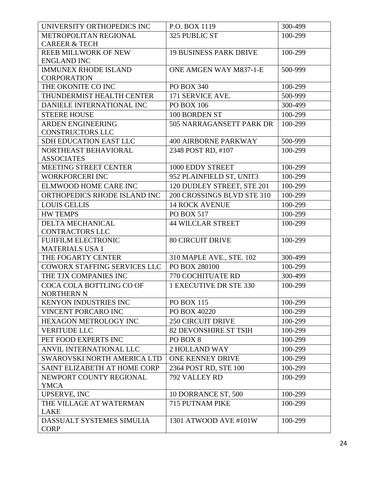| UNIVERSITY ORTHOPEDICS INC                           | P.O. BOX 1119                 | 300-499 |
|------------------------------------------------------|-------------------------------|---------|
| METROPOLITAN REGIONAL                                | 325 PUBLIC ST                 | 100-299 |
| <b>CAREER &amp; TECH</b>                             |                               |         |
| <b>REEB MILLWORK OF NEW</b>                          | <b>19 BUSINESS PARK DRIVE</b> | 100-299 |
| <b>ENGLAND INC</b>                                   |                               |         |
| <b>IMMUNEX RHODE ISLAND</b>                          | ONE AMGEN WAY M837-1-E        | 500-999 |
| <b>CORPORATION</b>                                   |                               |         |
| THE OKONITE CO INC                                   | <b>PO BOX 340</b>             | 100-299 |
| THUNDERMIST HEALTH CENTER                            | 171 SERVICE AVE.              | 500-999 |
| DANIELE INTERNATIONAL INC                            | <b>PO BOX 106</b>             | 300-499 |
| <b>STEERE HOUSE</b>                                  | 100 BORDEN ST                 | 100-299 |
| <b>ARDEN ENGINEERING</b>                             | 505 NARRAGANSETT PARK DR      | 100-299 |
| <b>CONSTRUCTORS LLC</b>                              |                               |         |
| <b>SDH EDUCATION EAST LLC</b>                        | <b>400 AIRBORNE PARKWAY</b>   | 500-999 |
| NORTHEAST BEHAVIORAL<br><b>ASSOCIATES</b>            | 2348 POST RD, #107            | 100-299 |
| MEETING STREET CENTER                                | 1000 EDDY STREET              | 100-299 |
| <b>WORKFORCERI INC</b>                               | 952 PLAINFIELD ST, UNIT3      | 100-299 |
| <b>ELMWOOD HOME CARE INC</b>                         | 120 DUDLEY STREET, STE 201    | 100-299 |
|                                                      | 200 CROSSINGS BLVD STE 310    |         |
| ORTHOPEDICS RHODE ISLAND INC                         |                               | 100-299 |
| <b>LOUIS GELLIS</b>                                  | <b>14 ROCK AVENUE</b>         | 100-299 |
| <b>HW TEMPS</b>                                      | PO BOX 517                    | 100-299 |
| <b>DELTA MECHANICAL</b>                              | <b>44 WILCLAR STREET</b>      | 100-299 |
| <b>CONTRACTORS LLC</b><br><b>FUJIFILM ELECTRONIC</b> | <b>80 CIRCUIT DRIVE</b>       | 100-299 |
| <b>MATERIALS USA I</b>                               |                               |         |
| THE FOGARTY CENTER                                   | 310 MAPLE AVE., STE. 102      | 300-499 |
| <b>COWORX STAFFING SERVICES LLC</b>                  | PO BOX 280100                 | 100-299 |
| THE TJX COMPANIES INC                                | 770 COCHITUATE RD             | 300-499 |
| COCA COLA BOTTLING CO OF                             | 1 EXECUTIVE DR STE 330        | 100-299 |
| <b>NORTHERN N</b>                                    |                               |         |
| <b>KENYON INDUSTRIES INC</b>                         | <b>PO BOX 115</b>             | 100-299 |
| VINCENT PORCARO INC                                  | PO BOX 40220                  | 100-299 |
| <b>HEXAGON METROLOGY INC</b>                         | <b>250 CIRCUIT DRIVE</b>      | 100-299 |
| <b>VERITUDE LLC</b>                                  | <b>82 DEVONSHIRE ST TSIH</b>  | 100-299 |
| PET FOOD EXPERTS INC                                 | PO BOX 8                      | 100-299 |
| ANVIL INTERNATIONAL LLC                              | 2 HOLLAND WAY                 | 100-299 |
| SWAROVSKI NORTH AMERICA LTD                          | ONE KENNEY DRIVE              | 100-299 |
| SAINT ELIZABETH AT HOME CORP                         | 2364 POST RD, STE 100         | 100-299 |
| NEWPORT COUNTY REGIONAL                              | 792 VALLEY RD                 | 100-299 |
| <b>YMCA</b>                                          |                               |         |
| UPSERVE, INC                                         | 10 DORRANCE ST, 500           | 100-299 |
| THE VILLAGE AT WATERMAN                              | 715 PUTNAM PIKE               | 100-299 |
| <b>LAKE</b>                                          |                               |         |
| DASSUALT SYSTEMES SIMULIA                            | 1301 ATWOOD AVE #101W         | 100-299 |
| <b>CORP</b>                                          |                               |         |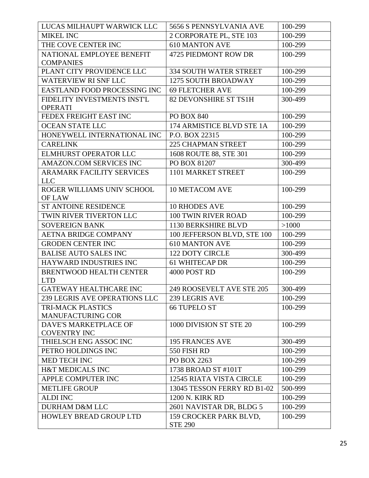| LUCAS MILHAUPT WARWICK LLC                    | 5656 S PENNSYLVANIA AVE                  | 100-299 |
|-----------------------------------------------|------------------------------------------|---------|
| <b>MIKEL INC</b>                              | 2 CORPORATE PL, STE 103                  | 100-299 |
| THE COVE CENTER INC                           | <b>610 MANTON AVE</b>                    | 100-299 |
| NATIONAL EMPLOYEE BENEFIT                     | 4725 PIEDMONT ROW DR                     | 100-299 |
| <b>COMPANIES</b>                              |                                          |         |
| PLANT CITY PROVIDENCE LLC                     | <b>334 SOUTH WATER STREET</b>            | 100-299 |
| <b>WATERVIEW RI SNF LLC</b>                   | 1275 SOUTH BROADWAY                      | 100-299 |
| EASTLAND FOOD PROCESSING INC                  | <b>69 FLETCHER AVE</b>                   | 100-299 |
| FIDELITY INVESTMENTS INST'L<br><b>OPERATI</b> | 82 DEVONSHIRE ST TS1H                    | 300-499 |
| FEDEX FREIGHT EAST INC                        | <b>PO BOX 840</b>                        | 100-299 |
| <b>OCEAN STATE LLC</b>                        | 174 ARMISTICE BLVD STE 1A                | 100-299 |
| HONEYWELL INTERNATIONAL INC                   | P.O. BOX 22315                           | 100-299 |
| <b>CARELINK</b>                               | <b>225 CHAPMAN STREET</b>                | 100-299 |
| ELMHURST OPERATOR LLC                         | 1608 ROUTE 88, STE 301                   | 100-299 |
| AMAZON.COM SERVICES INC                       | PO BOX 81207                             | 300-499 |
| <b>ARAMARK FACILITY SERVICES</b>              | 1101 MARKET STREET                       | 100-299 |
| <b>LLC</b>                                    |                                          |         |
| ROGER WILLIAMS UNIV SCHOOL                    | <b>10 METACOM AVE</b>                    | 100-299 |
| OF LAW                                        |                                          |         |
| <b>ST ANTOINE RESIDENCE</b>                   | <b>10 RHODES AVE</b>                     | 100-299 |
| TWIN RIVER TIVERTON LLC                       | <b>100 TWIN RIVER ROAD</b>               | 100-299 |
| <b>SOVEREIGN BANK</b>                         | 1130 BERKSHIRE BLVD                      | >1000   |
| AETNA BRIDGE COMPANY                          | 100 JEFFERSON BLVD, STE 100              | 100-299 |
| <b>GRODEN CENTER INC</b>                      | <b>610 MANTON AVE</b>                    | 100-299 |
| <b>BALISE AUTO SALES INC</b>                  | <b>122 DOTY CIRCLE</b>                   | 300-499 |
| HAYWARD INDUSTRIES INC                        | <b>61 WHITECAP DR</b>                    | 100-299 |
| <b>BRENTWOOD HEALTH CENTER</b>                | 4000 POST RD                             | 100-299 |
| <b>LTD</b>                                    |                                          |         |
| GATEWAY HEALTHCARE INC                        | 249 ROOSEVELT AVE STE 205                | 300-499 |
| <b>239 LEGRIS AVE OPERATIONS LLC</b>          | 239 LEGRIS AVE                           | 100-299 |
| <b>TRI-MACK PLASTICS</b>                      | <b>66 TUPELO ST</b>                      | 100-299 |
| <b>MANUFACTURING COR</b>                      |                                          |         |
| DAVE'S MARKETPLACE OF                         | 1000 DIVISION ST STE 20                  | 100-299 |
| <b>COVENTRY INC</b><br>THIELSCH ENG ASSOC INC | <b>195 FRANCES AVE</b>                   | 300-499 |
| PETRO HOLDINGS INC                            | 550 FISH RD                              |         |
| MED TECH INC                                  |                                          | 100-299 |
|                                               | PO BOX 2263                              | 100-299 |
| <b>H&amp;T MEDICALS INC</b>                   | 1738 BROAD ST #101T                      | 100-299 |
| APPLE COMPUTER INC                            | <b>12545 RIATA VISTA CIRCLE</b>          | 100-299 |
| <b>METLIFE GROUP</b>                          | 13045 TESSON FERRY RD B1-02              | 500-999 |
| <b>ALDI INC</b>                               | <b>1200 N. KIRK RD</b>                   | 100-299 |
| <b>DURHAM D&amp;M LLC</b>                     | 2601 NAVISTAR DR, BLDG 5                 | 100-299 |
| <b>HOWLEY BREAD GROUP LTD</b>                 | 159 CROCKER PARK BLVD,<br><b>STE 290</b> | 100-299 |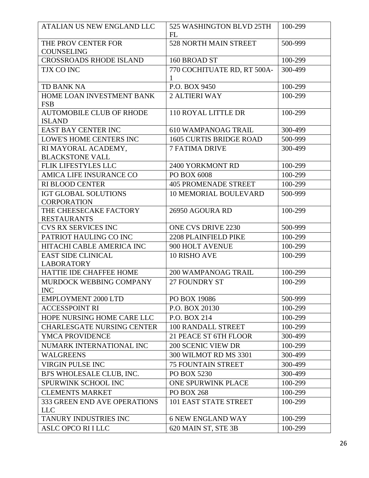| ATALIAN US NEW ENGLAND LLC                        | 525 WASHINGTON BLVD 25TH<br>FL   | 100-299 |
|---------------------------------------------------|----------------------------------|---------|
| THE PROV CENTER FOR<br><b>COUNSELING</b>          | 528 NORTH MAIN STREET            | 500-999 |
| <b>CROSSROADS RHODE ISLAND</b>                    | 160 BROAD ST                     | 100-299 |
| TJX CO INC                                        | 770 COCHITUATE RD, RT 500A-<br>1 | 300-499 |
| <b>TD BANK NA</b>                                 | P.O. BOX 9450                    | 100-299 |
| HOME LOAN INVESTMENT BANK<br><b>FSB</b>           | <b>2 ALTIERI WAY</b>             | 100-299 |
| <b>AUTOMOBILE CLUB OF RHODE</b><br><b>ISLAND</b>  | 110 ROYAL LITTLE DR              | 100-299 |
| <b>EAST BAY CENTER INC</b>                        | <b>610 WAMPANOAG TRAIL</b>       | 300-499 |
| <b>LOWE'S HOME CENTERS INC</b>                    | <b>1605 CURTIS BRIDGE ROAD</b>   | 500-999 |
| RI MAYORAL ACADEMY,<br><b>BLACKSTONE VALL</b>     | <b>7 FATIMA DRIVE</b>            | 300-499 |
| <b>FLIK LIFESTYLES LLC</b>                        | 2400 YORKMONT RD                 | 100-299 |
| <b>AMICA LIFE INSURANCE CO</b>                    | PO BOX 6008                      | 100-299 |
| <b>RI BLOOD CENTER</b>                            | <b>405 PROMENADE STREET</b>      | 100-299 |
| <b>IGT GLOBAL SOLUTIONS</b><br><b>CORPORATION</b> | <b>10 MEMORIAL BOULEVARD</b>     | 500-999 |
| THE CHEESECAKE FACTORY<br><b>RESTAURANTS</b>      | 26950 AGOURA RD                  | 100-299 |
| <b>CVS RX SERVICES INC</b>                        | <b>ONE CVS DRIVE 2230</b>        | 500-999 |
| PATRIOT HAULING CO INC                            | 2208 PLAINFIELD PIKE             | 100-299 |
| HITACHI CABLE AMERICA INC                         | 900 HOLT AVENUE                  | 100-299 |
| <b>EAST SIDE CLINICAL</b><br><b>LABORATORY</b>    | <b>10 RISHO AVE</b>              | 100-299 |
| <b>HATTIE IDE CHAFFEE HOME</b>                    | 200 WAMPANOAG TRAIL              | 100-299 |
| MURDOCK WEBBING COMPANY<br><b>INC</b>             | 27 FOUNDRY ST                    | 100-299 |
| <b>EMPLOYMENT 2000 LTD</b>                        | PO BOX 19086                     | 500-999 |
| <b>ACCESSPOINT RI</b>                             | P.O. BOX 20130                   | 100-299 |
| HOPE NURSING HOME CARE LLC                        | P.O. BOX 214                     | 100-299 |
| <b>CHARLESGATE NURSING CENTER</b>                 | 100 RANDALL STREET               | 100-299 |
| <b>YMCA PROVIDENCE</b>                            | 21 PEACE ST 6TH FLOOR            | 300-499 |
| NUMARK INTERNATIONAL INC                          | <b>200 SCENIC VIEW DR</b>        | 100-299 |
| <b>WALGREENS</b>                                  | 300 WILMOT RD MS 3301            | 300-499 |
| <b>VIRGIN PULSE INC</b>                           | <b>75 FOUNTAIN STREET</b>        | 300-499 |
| BJ'S WHOLESALE CLUB, INC.                         | PO BOX 5230                      | 300-499 |
| SPURWINK SCHOOL INC                               | ONE SPURWINK PLACE               | 100-299 |
| <b>CLEMENTS MARKET</b>                            | <b>PO BOX 268</b>                | 100-299 |
| 333 GREEN END AVE OPERATIONS<br><b>LLC</b>        | 101 EAST STATE STREET            | 100-299 |
| TANURY INDUSTRIES INC                             | <b>6 NEW ENGLAND WAY</b>         | 100-299 |
| ASLC OPCO RI I LLC                                | 620 MAIN ST, STE 3B              | 100-299 |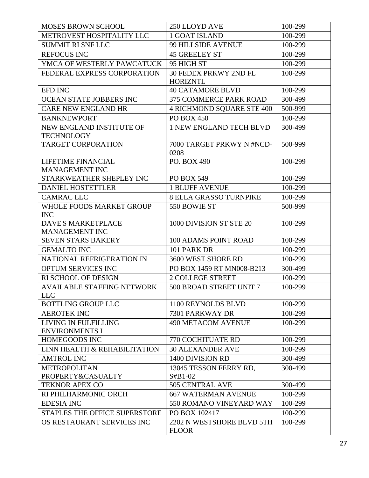| <b>MOSES BROWN SCHOOL</b>                       | 250 LLOYD AVE                             | 100-299 |
|-------------------------------------------------|-------------------------------------------|---------|
| METROVEST HOSPITALITY LLC                       | 1 GOAT ISLAND                             | 100-299 |
| <b>SUMMIT RI SNF LLC</b>                        | 99 HILLSIDE AVENUE                        | 100-299 |
| <b>REFOCUS INC</b>                              | <b>45 GREELEY ST</b>                      | 100-299 |
| YMCA OF WESTERLY PAWCATUCK                      | 95 HIGH ST                                | 100-299 |
| FEDERAL EXPRESS CORPORATION                     | 30 FEDEX PRKWY 2ND FL<br><b>HORIZNTL</b>  | 100-299 |
| EFD INC                                         | <b>40 CATAMORE BLVD</b>                   | 100-299 |
| OCEAN STATE JOBBERS INC                         | 375 COMMERCE PARK ROAD                    | 300-499 |
| <b>CARE NEW ENGLAND HR</b>                      | <b>4 RICHMOND SQUARE STE 400</b>          | 500-999 |
| <b>BANKNEWPORT</b>                              | <b>PO BOX 450</b>                         | 100-299 |
| NEW ENGLAND INSTITUTE OF<br><b>TECHNOLOGY</b>   | 1 NEW ENGLAND TECH BLVD                   | 300-499 |
| <b>TARGET CORPORATION</b>                       | 7000 TARGET PRKWY N #NCD-<br>0208         | 500-999 |
| LIFETIME FINANCIAL<br>MANAGEMENT INC            | PO. BOX 490                               | 100-299 |
| STARKWEATHER SHEPLEY INC                        | PO BOX 549                                | 100-299 |
| <b>DANIEL HOSTETTLER</b>                        | <b>1 BLUFF AVENUE</b>                     | 100-299 |
| <b>CAMRAC LLC</b>                               | <b>8 ELLA GRASSO TURNPIKE</b>             | 100-299 |
| WHOLE FOODS MARKET GROUP<br><b>INC</b>          | 550 BOWIE ST                              | 500-999 |
| <b>DAVE'S MARKETPLACE</b><br>MANAGEMENT INC     | 1000 DIVISION ST STE 20                   | 100-299 |
| <b>SEVEN STARS BAKERY</b>                       | <b>100 ADAMS POINT ROAD</b>               | 100-299 |
| <b>GEMALTO INC</b>                              | 101 PARK DR                               | 100-299 |
| NATIONAL REFRIGERATION IN                       | 3600 WEST SHORE RD                        | 100-299 |
| OPTUM SERVICES INC                              | PO BOX 1459 RT MN008-B213                 | 300-499 |
| RI SCHOOL OF DESIGN                             | <b>2 COLLEGE STREET</b>                   | 100-299 |
| <b>AVAILABLE STAFFING NETWORK</b><br><b>LLC</b> | 500 BROAD STREET UNIT 7                   | 100-299 |
| <b>BOTTLING GROUP LLC</b>                       | 1100 REYNOLDS BLVD                        | 100-299 |
| <b>AEROTEK INC</b>                              | 7301 PARKWAY DR                           | 100-299 |
| LIVING IN FULFILLING<br><b>ENVIRONMENTS I</b>   | <b>490 METACOM AVENUE</b>                 | 100-299 |
| <b>HOMEGOODS INC</b>                            | <b>770 COCHITUATE RD</b>                  | 100-299 |
| LINN HEALTH & REHABILITATION                    | <b>30 ALEXANDER AVE</b>                   | 100-299 |
| <b>AMTROL INC</b>                               | 1400 DIVISION RD                          | 300-499 |
| <b>METROPOLITAN</b><br>PROPERTY&CASUALTY        | 13045 TESSON FERRY RD,<br>$S#B1-02$       | 300-499 |
| <b>TEKNOR APEX CO</b>                           | 505 CENTRAL AVE                           | 300-499 |
| RI PHILHARMONIC ORCH                            | <b>667 WATERMAN AVENUE</b>                | 100-299 |
| <b>EDESIA INC</b>                               | 550 ROMANO VINEYARD WAY                   | 100-299 |
| <b>STAPLES THE OFFICE SUPERSTORE</b>            | PO BOX 102417                             | 100-299 |
| OS RESTAURANT SERVICES INC                      | 2202 N WESTSHORE BLVD 5TH<br><b>FLOOR</b> | 100-299 |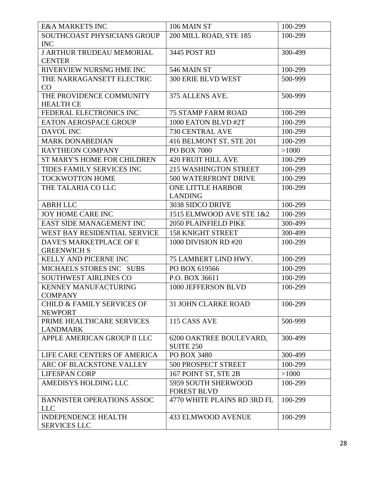| <b>E&amp;A MARKETS INC</b>                              | 106 MAIN ST                                 | 100-299 |
|---------------------------------------------------------|---------------------------------------------|---------|
| SOUTHCOAST PHYSICIANS GROUP                             | 200 MILL ROAD, STE 185                      | 100-299 |
| <b>INC</b>                                              |                                             |         |
| <b>J ARTHUR TRUDEAU MEMORIAL</b>                        | 3445 POST RD                                | 300-499 |
| <b>CENTER</b>                                           |                                             |         |
| RIVERVIEW NURSNG HME INC                                | 546 MAIN ST                                 | 100-299 |
| THE NARRAGANSETT ELECTRIC                               | <b>300 ERIE BLVD WEST</b>                   | 500-999 |
| CO                                                      |                                             |         |
| THE PROVIDENCE COMMUNITY<br><b>HEALTH CE</b>            | 375 ALLENS AVE.                             | 500-999 |
| FEDERAL ELECTRONICS INC                                 | <b>75 STAMP FARM ROAD</b>                   | 100-299 |
| EATON AEROSPACE GROUP                                   | 1000 EATON BLVD #2T                         | 100-299 |
| DAVOL INC                                               | 730 CENTRAL AVE                             | 100-299 |
| <b>MARK DONABEDIAN</b>                                  | 416 BELMONT ST, STE 201                     | 100-299 |
| <b>RAYTHEON COMPANY</b>                                 | PO BOX 7000                                 | >1000   |
| <b>ST MARY'S HOME FOR CHILDREN</b>                      | <b>420 FRUIT HILL AVE</b>                   | 100-299 |
| TIDES FAMILY SERVICES INC                               | 215 WASHINGTON STREET                       | 100-299 |
| <b>TOCKWOTTON HOME</b>                                  | 500 WATERFRONT DRIVE                        | 100-299 |
| THE TALARIA CO LLC                                      | <b>ONE LITTLE HARBOR</b>                    | 100-299 |
|                                                         | <b>LANDING</b>                              |         |
| <b>ABRH LLC</b>                                         | 3038 SIDCO DRIVE                            | 100-299 |
| JOY HOME CARE INC                                       | 1515 ELMWOOD AVE STE 1&2                    | 100-299 |
| EAST SIDE MANAGEMENT INC                                | <b>2050 PLAINFIELD PIKE</b>                 | 300-499 |
| WEST BAY RESIDENTIAL SERVICE                            | <b>158 KNIGHT STREET</b>                    | 300-499 |
| DAVE'S MARKETPLACE OF E                                 | 1000 DIVISION RD #20                        | 100-299 |
| <b>GREENWICH S</b>                                      |                                             |         |
| <b>KELLY AND PICERNE INC</b>                            | 75 LAMBERT LIND HWY.                        | 100-299 |
| MICHAELS STORES INC SUBS                                | PO BOX 619566                               | 100-299 |
| <b>SOUTHWEST AIRLINES CO</b>                            | P.O. BOX 36611                              | 100-299 |
| <b>KENNEY MANUFACTURING</b><br><b>COMPANY</b>           | 1000 JEFFERSON BLVD                         | 100-299 |
| <b>CHILD &amp; FAMILY SERVICES OF</b><br><b>NEWPORT</b> | <b>31 JOHN CLARKE ROAD</b>                  | 100-299 |
| PRIME HEALTHCARE SERVICES                               | 115 CASS AVE                                | 500-999 |
| <b>LANDMARK</b>                                         |                                             |         |
| APPLE AMERICAN GROUP II LLC                             | 6200 OAKTREE BOULEVARD,<br><b>SUITE 250</b> | 300-499 |
| LIFE CARE CENTERS OF AMERICA                            | PO BOX 3480                                 | 300-499 |
| ARC OF BLACKSTONE VALLEY                                | 500 PROSPECT STREET                         | 100-299 |
| <b>LIFESPAN CORP</b>                                    | 167 POINT ST, STE 2B                        | >1000   |
| AMEDISYS HOLDING LLC                                    | 5959 SOUTH SHERWOOD                         | 100-299 |
|                                                         | <b>FOREST BLVD</b>                          |         |
| <b>BANNISTER OPERATIONS ASSOC</b>                       | 4770 WHITE PLAINS RD 3RD FL                 | 100-299 |
| <b>LLC</b>                                              |                                             |         |
| <b>INDEPENDENCE HEALTH</b>                              | <b>433 ELMWOOD AVENUE</b>                   | 100-299 |
| <b>SERVICES LLC</b>                                     |                                             |         |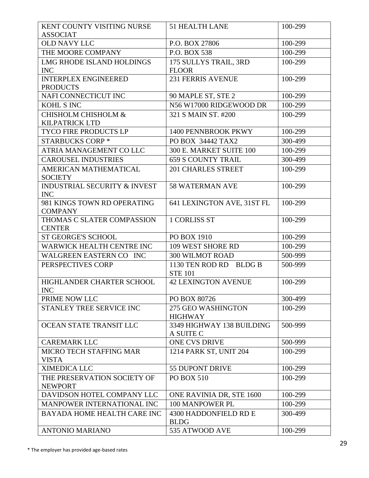| KENT COUNTY VISITING NURSE                              | <b>51 HEALTH LANE</b>                  | 100-299 |
|---------------------------------------------------------|----------------------------------------|---------|
| <b>ASSOCIAT</b>                                         |                                        |         |
| <b>OLD NAVY LLC</b>                                     | P.O. BOX 27806                         | 100-299 |
| THE MOORE COMPANY                                       | P.O. BOX 538                           | 100-299 |
| LMG RHODE ISLAND HOLDINGS                               | 175 SULLYS TRAIL, 3RD                  | 100-299 |
| <b>INC</b>                                              | <b>FLOOR</b>                           |         |
| <b>INTERPLEX ENGINEERED</b>                             | <b>231 FERRIS AVENUE</b>               | 100-299 |
| <b>PRODUCTS</b>                                         |                                        |         |
| NAFI CONNECTICUT INC                                    | 90 MAPLE ST, STE 2                     | 100-299 |
| KOHL S INC                                              | N56 W17000 RIDGEWOOD DR                | 100-299 |
| <b>CHISHOLM CHISHOLM &amp;</b><br><b>KILPATRICK LTD</b> | 321 S MAIN ST. #200                    | 100-299 |
| <b>TYCO FIRE PRODUCTS LP</b>                            | 1400 PENNBROOK PKWY                    | 100-299 |
| <b>STARBUCKS CORP*</b>                                  | PO BOX 34442 TAX2                      | 300-499 |
| ATRIA MANAGEMENT CO LLC                                 | 300 E. MARKET SUITE 100                | 100-299 |
| <b>CAROUSEL INDUSTRIES</b>                              | <b>659 S COUNTY TRAIL</b>              | 300-499 |
| AMERICAN MATHEMATICAL                                   | <b>201 CHARLES STREET</b>              | 100-299 |
| <b>SOCIETY</b>                                          |                                        |         |
| <b>INDUSTRIAL SECURITY &amp; INVEST</b>                 | <b>58 WATERMAN AVE</b>                 | 100-299 |
| <b>INC</b>                                              |                                        |         |
| 981 KINGS TOWN RD OPERATING                             | 641 LEXINGTON AVE, 31ST FL             | 100-299 |
| <b>COMPANY</b>                                          |                                        |         |
| THOMAS C SLATER COMPASSION<br><b>CENTER</b>             | <b>1 CORLISS ST</b>                    | 100-299 |
| <b>ST GEORGE'S SCHOOL</b>                               | PO BOX 1910                            | 100-299 |
| <b>WARWICK HEALTH CENTRE INC</b>                        | 109 WEST SHORE RD                      | 100-299 |
| WALGREEN EASTERN CO INC                                 | <b>300 WILMOT ROAD</b>                 | 500-999 |
| PERSPECTIVES CORP                                       | 1130 TEN ROD RD BLDG B                 | 500-999 |
|                                                         | <b>STE 101</b>                         |         |
| HIGHLANDER CHARTER SCHOOL                               | <b>42 LEXINGTON AVENUE</b>             | 100-299 |
| <b>INC</b>                                              |                                        |         |
| PRIME NOW LLC                                           | PO BOX 80726                           | 300-499 |
| STANLEY TREE SERVICE INC                                | 275 GEO WASHINGTON                     | 100-299 |
|                                                         | <b>HIGHWAY</b>                         |         |
| OCEAN STATE TRANSIT LLC                                 | 3349 HIGHWAY 138 BUILDING<br>A SUITE C | 500-999 |
| <b>CAREMARK LLC</b>                                     | ONE CVS DRIVE                          | 500-999 |
| <b>MICRO TECH STAFFING MAR</b>                          | 1214 PARK ST, UNIT 204                 | 100-299 |
| <b>VISTA</b>                                            |                                        |         |
| <b>XIMEDICA LLC</b>                                     | <b>55 DUPONT DRIVE</b>                 | 100-299 |
| THE PRESERVATION SOCIETY OF                             | <b>PO BOX 510</b>                      | 100-299 |
| <b>NEWPORT</b>                                          |                                        |         |
| DAVIDSON HOTEL COMPANY LLC                              | ONE RAVINIA DR, STE 1600               | 100-299 |
| MANPOWER INTERNATIONAL INC                              | 100 MANPOWER PL                        | 100-299 |
| <b>BAYADA HOME HEALTH CARE INC</b>                      | 4300 HADDONFIELD RD E                  | 300-499 |
|                                                         | <b>BLDG</b>                            |         |
| <b>ANTONIO MARIANO</b>                                  | 535 ATWOOD AVE                         | 100-299 |

\* The employer has provided age-based rates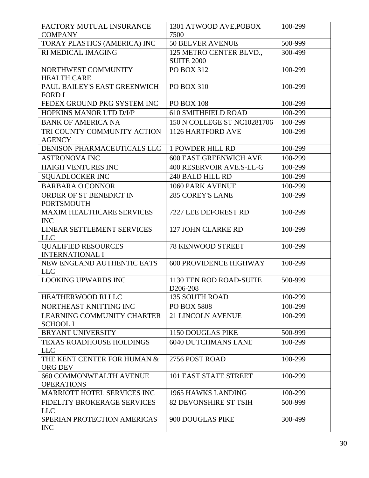| FACTORY MUTUAL INSURANCE<br><b>COMPANY</b>          | 1301 ATWOOD AVE, POBOX<br>7500                 | 100-299 |
|-----------------------------------------------------|------------------------------------------------|---------|
| TORAY PLASTICS (AMERICA) INC                        | <b>50 BELVER AVENUE</b>                        | 500-999 |
| RI MEDICAL IMAGING                                  | 125 METRO CENTER BLVD.,                        | 300-499 |
|                                                     | <b>SUITE 2000</b>                              |         |
| NORTHWEST COMMUNITY                                 | <b>PO BOX 312</b>                              | 100-299 |
| <b>HEALTH CARE</b>                                  |                                                |         |
| PAUL BAILEY'S EAST GREENWICH                        | <b>PO BOX 310</b>                              | 100-299 |
| <b>FORD I</b>                                       |                                                |         |
| FEDEX GROUND PKG SYSTEM INC                         | <b>PO BOX 108</b>                              | 100-299 |
| HOPKINS MANOR LTD D/I/P                             | <b>610 SMITHFIELD ROAD</b>                     | 100-299 |
| <b>BANK OF AMERICA NA</b>                           | 150 N COLLEGE ST NC10281706                    | 100-299 |
| TRI COUNTY COMMUNITY ACTION<br><b>AGENCY</b>        | 1126 HARTFORD AVE                              | 100-299 |
| DENISON PHARMACEUTICALS LLC                         | <b>1 POWDER HILL RD</b>                        | 100-299 |
| <b>ASTRONOVA INC</b>                                | <b>600 EAST GREENWICH AVE</b>                  | 100-299 |
| <b>HAIGH VENTURES INC</b>                           | 400 RESERVOIR AVE.S-LL-G                       | 100-299 |
| <b>SQUADLOCKER INC</b>                              | 240 BALD HILL RD                               | 100-299 |
| <b>BARBARA O'CONNOR</b>                             | 1060 PARK AVENUE                               | 100-299 |
| ORDER OF ST BENEDICT IN                             | <b>285 COREY'S LANE</b>                        | 100-299 |
| <b>PORTSMOUTH</b>                                   |                                                |         |
| <b>MAXIM HEALTHCARE SERVICES</b><br><b>INC</b>      | 7227 LEE DEFOREST RD                           | 100-299 |
| LINEAR SETTLEMENT SERVICES<br><b>LLC</b>            | 127 JOHN CLARKE RD                             | 100-299 |
| <b>QUALIFIED RESOURCES</b>                          | <b>78 KENWOOD STREET</b>                       | 100-299 |
| <b>INTERNATIONAL I</b>                              |                                                |         |
| NEW ENGLAND AUTHENTIC EATS                          | <b>600 PROVIDENCE HIGHWAY</b>                  | 100-299 |
| <b>LLC</b>                                          |                                                |         |
| <b>LOOKING UPWARDS INC</b>                          | 1130 TEN ROD ROAD-SUITE                        | 500-999 |
| HEATHERWOOD RILLC                                   | D <sub>206</sub> -208<br><b>135 SOUTH ROAD</b> | 100-299 |
| NORTHEAST KNITTING INC                              | <b>PO BOX 5808</b>                             | 100-299 |
| LEARNING COMMUNITY CHARTER                          | <b>21 LINCOLN AVENUE</b>                       | 100-299 |
| <b>SCHOOL I</b>                                     |                                                |         |
| <b>BRYANT UNIVERSITY</b>                            | <b>1150 DOUGLAS PIKE</b>                       | 500-999 |
| <b>TEXAS ROADHOUSE HOLDINGS</b>                     | <b>6040 DUTCHMANS LANE</b>                     | 100-299 |
| <b>LLC</b>                                          |                                                |         |
| THE KENT CENTER FOR HUMAN &                         | 2756 POST ROAD                                 | 100-299 |
| ORG DEV                                             |                                                |         |
| <b>660 COMMONWEALTH AVENUE</b><br><b>OPERATIONS</b> | 101 EAST STATE STREET                          | 100-299 |
| <b>MARRIOTT HOTEL SERVICES INC</b>                  | <b>1965 HAWKS LANDING</b>                      | 100-299 |
| FIDELITY BROKERAGE SERVICES                         | <b>82 DEVONSHIRE ST TSIH</b>                   | 500-999 |
| <b>LLC</b>                                          |                                                |         |
| SPERIAN PROTECTION AMERICAS                         | 900 DOUGLAS PIKE                               | 300-499 |
| <b>INC</b>                                          |                                                |         |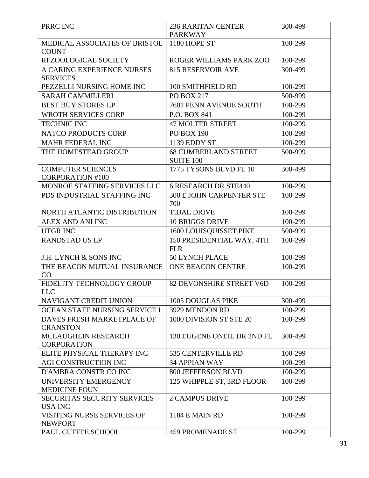| PRRC INC                                             | <b>236 RARITAN CENTER</b>                       | 300-499 |
|------------------------------------------------------|-------------------------------------------------|---------|
|                                                      | <b>PARKWAY</b>                                  |         |
| MEDICAL ASSOCIATES OF BRISTOL<br><b>COUNT</b>        | 1180 HOPE ST                                    | 100-299 |
| RI ZOOLOGICAL SOCIETY                                | ROGER WILLIAMS PARK ZOO                         | 100-299 |
| A CARING EXPERIENCE NURSES<br><b>SERVICES</b>        | <b>815 RESERVOIR AVE</b>                        | 300-499 |
| PEZZELLI NURSING HOME INC                            | 100 SMITHFIELD RD                               | 100-299 |
| <b>SARAH CAMMILLERI</b>                              | <b>PO BOX 217</b>                               | 500-999 |
| <b>BEST BUY STORES LP</b>                            | 7601 PENN AVENUE SOUTH                          | 100-299 |
| WROTH SERVICES CORP                                  | P.O. BOX 841                                    | 100-299 |
| <b>TECHNIC INC</b>                                   | <b>47 MOLTER STREET</b>                         | 100-299 |
| NATCO PRODUCTS CORP                                  | <b>PO BOX 190</b>                               | 100-299 |
| <b>MAHR FEDERAL INC</b>                              | 1139 EDDY ST                                    | 100-299 |
| THE HOMESTEAD GROUP                                  | <b>68 CUMBERLAND STREET</b><br><b>SUITE 100</b> | 500-999 |
| <b>COMPUTER SCIENCES</b><br><b>CORPORATION #100</b>  | 1775 TYSONS BLVD FL 10                          | 300-499 |
| MONROE STAFFING SERVICES LLC                         | <b>6 RESEARCH DR STE440</b>                     | 100-299 |
| PDS INDUSTRIAL STAFFING INC                          | <b>300 E JOHN CARPENTER STE</b><br>700          | 100-299 |
| NORTH ATLANTIC DISTRIBUTION                          | <b>TIDAL DRIVE</b>                              | 100-299 |
| <b>ALEX AND ANI INC</b>                              | <b>10 BRIGGS DRIVE</b>                          | 100-299 |
| <b>UTGR INC</b>                                      | 1600 LOUISQUISSET PIKE                          | 500-999 |
| <b>RANDSTAD US LP</b>                                | 150 PRESIDENTIAL WAY, 4TH<br><b>FLR</b>         | 100-299 |
| <b>J.H. LYNCH &amp; SONS INC</b>                     | <b>50 LYNCH PLACE</b>                           | 100-299 |
| THE BEACON MUTUAL INSURANCE<br>CO                    | <b>ONE BEACON CENTRE</b>                        | 100-299 |
| FIDELITY TECHNOLOGY GROUP<br><b>LLC</b>              | 82 DEVONSHIRE STREET V6D                        | 100-299 |
| <b>NAVIGANT CREDIT UNION</b>                         | <b>1005 DOUGLAS PIKE</b>                        | 300-499 |
| OCEAN STATE NURSING SERVICE I                        | 3929 MENDON RD                                  | 100-299 |
| DAVES FRESH MARKETPLACE OF<br><b>CRANSTON</b>        | 1000 DIVISION ST STE 20                         | 100-299 |
| <b>MCLAUGHLIN RESEARCH</b><br><b>CORPORATION</b>     | 130 EUGENE ONEIL DR 2ND FL                      | 300-499 |
| ELITE PHYSICAL THERAPY INC                           | 535 CENTERVILLE RD                              | 100-299 |
| <b>AGI CONSTRUCTION INC</b>                          | <b>34 APPIAN WAY</b>                            | 100-299 |
| D'AMBRA CONSTR CO INC                                | <b>800 JEFFERSON BLVD</b>                       | 100-299 |
| UNIVERSITY EMERGENCY<br><b>MEDICINE FOUN</b>         | 125 WHIPPLE ST, 3RD FLOOR                       | 100-299 |
| <b>SECURITAS SECURITY SERVICES</b><br><b>USA INC</b> | <b>2 CAMPUS DRIVE</b>                           | 100-299 |
| VISITING NURSE SERVICES OF<br><b>NEWPORT</b>         | <b>1184 E MAIN RD</b>                           | 100-299 |
| PAUL CUFFEE SCHOOL                                   | <b>459 PROMENADE ST</b>                         | 100-299 |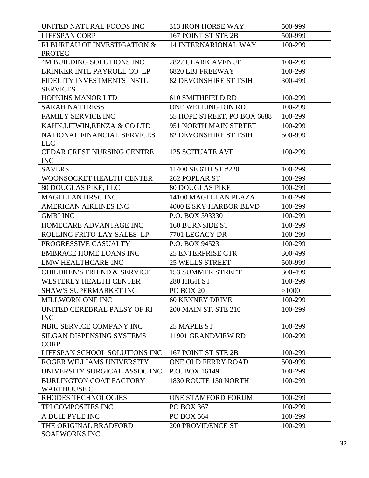| UNITED NATURAL FOODS INC                             | 313 IRON HORSE WAY            | 500-999 |
|------------------------------------------------------|-------------------------------|---------|
| <b>LIFESPAN CORP</b>                                 | 167 POINT ST STE 2B           | 500-999 |
| RI BUREAU OF INVESTIGATION &<br><b>PROTEC</b>        | <b>14 INTERNARIONAL WAY</b>   | 100-299 |
| <b>4M BUILDING SOLUTIONS INC</b>                     | <b>2827 CLARK AVENUE</b>      | 100-299 |
| BRINKER INTL PAYROLL CO LP                           | <b>6820 LBJ FREEWAY</b>       | 100-299 |
| FIDELITY INVESTMENTS INSTL<br><b>SERVICES</b>        | <b>82 DEVONSHIRE ST TSIH</b>  | 300-499 |
| <b>HOPKINS MANOR LTD</b>                             | <b>610 SMITHFIELD RD</b>      | 100-299 |
| <b>SARAH NATTRESS</b>                                | ONE WELLINGTON RD             | 100-299 |
| <b>FAMILY SERVICE INC</b>                            | 55 HOPE STREET, PO BOX 6688   | 100-299 |
| KAHN,LITWIN,RENZA & CO LTD                           | 951 NORTH MAIN STREET         | 100-299 |
| NATIONAL FINANCIAL SERVICES<br><b>LLC</b>            | <b>82 DEVONSHIRE ST TSIH</b>  | 500-999 |
| <b>CEDAR CREST NURSING CENTRE</b><br><b>INC</b>      | <b>125 SCITUATE AVE</b>       | 100-299 |
| <b>SAVERS</b>                                        | 11400 SE 6TH ST #220          | 100-299 |
| WOONSOCKET HEALTH CENTER                             | 262 POPLAR ST                 | 100-299 |
| 80 DOUGLAS PIKE, LLC                                 | <b>80 DOUGLAS PIKE</b>        | 100-299 |
| <b>MAGELLAN HRSC INC</b>                             | 14100 MAGELLAN PLAZA          | 100-299 |
| AMERICAN AIRLINES INC                                | <b>4000 E SKY HARBOR BLVD</b> | 100-299 |
| <b>GMRI INC</b>                                      | P.O. BOX 593330               | 100-299 |
| HOMECARE ADVANTAGE INC                               | <b>160 BURNSIDE ST</b>        | 100-299 |
| ROLLING FRITO-LAY SALES LP                           | 7701 LEGACY DR                | 100-299 |
| PROGRESSIVE CASUALTY                                 | P.O. BOX 94523                | 100-299 |
| <b>EMBRACE HOME LOANS INC</b>                        | <b>25 ENTERPRISE CTR</b>      | 300-499 |
| LMW HEALTHCARE INC                                   | <b>25 WELLS STREET</b>        | 500-999 |
| <b>CHILDREN'S FRIEND &amp; SERVICE</b>               | <b>153 SUMMER STREET</b>      | 300-499 |
| <b>WESTERLY HEALTH CENTER</b>                        | 280 HIGH ST                   | 100-299 |
| SHAW'S SUPERMARKET INC                               | PO BOX 20                     | >1000   |
| <b>MILLWORK ONE INC</b>                              | <b>60 KENNEY DRIVE</b>        | 100-299 |
| UNITED CEREBRAL PALSY OF RI<br><b>INC</b>            | 200 MAIN ST, STE 210          | 100-299 |
| NBIC SERVICE COMPANY INC                             | 25 MAPLE ST                   | 100-299 |
| <b>SILGAN DISPENSING SYSTEMS</b><br><b>CORP</b>      | 11901 GRANDVIEW RD            | 100-299 |
| LIFESPAN SCHOOL SOLUTIONS INC                        | 167 POINT ST STE 2B           | 100-299 |
| ROGER WILLIAMS UNIVERSITY                            | ONE OLD FERRY ROAD            | 500-999 |
| UNIVERSITY SURGICAL ASSOC INC                        | P.O. BOX 16149                | 100-299 |
| <b>BURLINGTON COAT FACTORY</b><br><b>WAREHOUSE C</b> | 1830 ROUTE 130 NORTH          | 100-299 |
| RHODES TECHNOLOGIES                                  | ONE STAMFORD FORUM            | 100-299 |
| TPI COMPOSITES INC                                   | PO BOX 367                    | 100-299 |
| A DUIE PYLE INC                                      | <b>PO BOX 564</b>             | 100-299 |
| THE ORIGINAL BRADFORD<br><b>SOAPWORKS INC</b>        | <b>200 PROVIDENCE ST</b>      | 100-299 |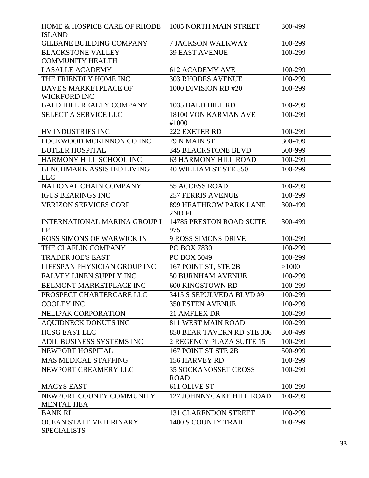| HOME & HOSPICE CARE OF RHODE<br><b>ISLAND</b>       | 1085 NORTH MAIN STREET                     | 300-499 |
|-----------------------------------------------------|--------------------------------------------|---------|
| <b>GILBANE BUILDING COMPANY</b>                     | <b>7 JACKSON WALKWAY</b>                   | 100-299 |
| <b>BLACKSTONE VALLEY</b>                            | <b>39 EAST AVENUE</b>                      | 100-299 |
| <b>COMMUNITY HEALTH</b>                             |                                            |         |
| <b>LASALLE ACADEMY</b>                              | <b>612 ACADEMY AVE</b>                     | 100-299 |
| THE FRIENDLY HOME INC                               | <b>303 RHODES AVENUE</b>                   | 100-299 |
| DAVE'S MARKETPLACE OF                               | 1000 DIVISION RD #20                       | 100-299 |
| <b>WICKFORD INC</b>                                 |                                            |         |
| <b>BALD HILL REALTY COMPANY</b>                     | 1035 BALD HILL RD                          | 100-299 |
| <b>SELECT A SERVICE LLC</b>                         | 18100 VON KARMAN AVE<br>#1000              | 100-299 |
| HV INDUSTRIES INC                                   | 222 EXETER RD                              | 100-299 |
| LOCKWOOD MCKINNON CO INC                            | 79 N MAIN ST                               | 300-499 |
| <b>BUTLER HOSPITAL</b>                              | <b>345 BLACKSTONE BLVD</b>                 | 500-999 |
| HARMONY HILL SCHOOL INC                             | <b>63 HARMONY HILL ROAD</b>                | 100-299 |
| <b>BENCHMARK ASSISTED LIVING</b><br><b>LLC</b>      | 40 WILLIAM ST STE 350                      | 100-299 |
| NATIONAL CHAIN COMPANY                              | 55 ACCESS ROAD                             | 100-299 |
| <b>IGUS BEARINGS INC</b>                            | <b>257 FERRIS AVENUE</b>                   | 100-299 |
| <b>VERIZON SERVICES CORP</b>                        | 899 HEATHROW PARK LANE<br>2ND FL           | 300-499 |
| <b>INTERNATIONAL MARINA GROUP I</b><br>LP           | 14785 PRESTON ROAD SUITE<br>975            | 300-499 |
| <b>ROSS SIMONS OF WARWICK IN</b>                    | <b>9 ROSS SIMONS DRIVE</b>                 | 100-299 |
| THE CLAFLIN COMPANY                                 | PO BOX 7830                                | 100-299 |
| <b>TRADER JOE'S EAST</b>                            | PO BOX 5049                                | 100-299 |
| LIFESPAN PHYSICIAN GROUP INC                        | 167 POINT ST, STE 2B                       | >1000   |
| FALVEY LINEN SUPPLY INC                             | 50 BURNHAM AVENUE                          | 100-299 |
| <b>BELMONT MARKETPLACE INC</b>                      | 600 KINGSTOWN RD                           | 100-299 |
| PROSPECT CHARTERCARE LLC                            | 3415 S SEPULVEDA BLVD #9                   | 100-299 |
| <b>COOLEY INC</b>                                   | <b>350 ESTEN AVENUE</b>                    | 100-299 |
| NELIPAK CORPORATION                                 | 21 AMFLEX DR                               | 100-299 |
| <b>AOUIDNECK DONUTS INC</b>                         | <b>811 WEST MAIN ROAD</b>                  | 100-299 |
| <b>HCSG EAST LLC</b>                                | 850 BEAR TAVERN RD STE 306                 | 300-499 |
| ADIL BUSINESS SYSTEMS INC                           | 2 REGENCY PLAZA SUITE 15                   | 100-299 |
| NEWPORT HOSPITAL                                    | 167 POINT ST STE 2B                        | 500-999 |
| <b>MAS MEDICAL STAFFING</b>                         | 156 HARVEY RD                              | 100-299 |
| NEWPORT CREAMERY LLC                                | <b>35 SOCKANOSSET CROSS</b><br><b>ROAD</b> | 100-299 |
| <b>MACYS EAST</b>                                   | 611 OLIVE ST                               | 100-299 |
| NEWPORT COUNTY COMMUNITY                            | <b>127 JOHNNYCAKE HILL ROAD</b>            | 100-299 |
| <b>MENTAL HEA</b>                                   |                                            |         |
| <b>BANK RI</b>                                      | <b>131 CLARENDON STREET</b>                | 100-299 |
| <b>OCEAN STATE VETERINARY</b><br><b>SPECIALISTS</b> | 1480 S COUNTY TRAIL                        | 100-299 |